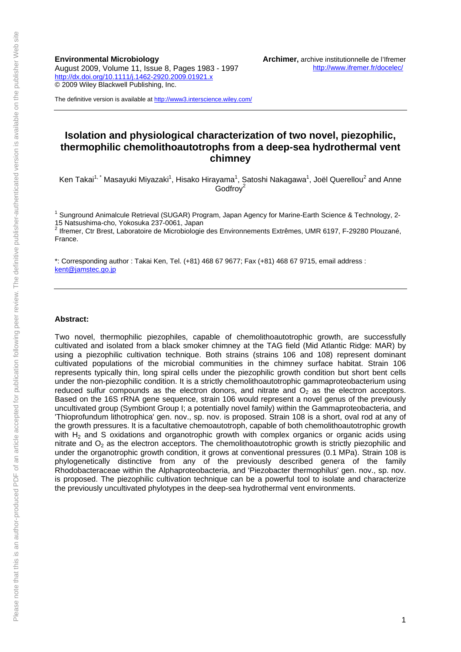**Environmental Microbiology**  August 2009, Volume 11, Issue 8, Pages 1983 - 1997 <http://dx.doi.org/10.1111/j.1462-2920.2009.01921.x> © 2009 Wiley Blackwell Publishing, Inc.

The definitive version is available at<http://www3.interscience.wiley.com/>

### **Isolation and physiological characterization of two novel, piezophilic, thermophilic chemolithoautotrophs from a deep-sea hydrothermal vent chimney**

Ken Takai<sup>1,[\\*](http://www3.interscience.wiley.com/journal/122528782/abstract#c1)</sup> Masayuki Miyazaki<sup>1</sup>, Hisako Hirayama<sup>1</sup>, Satoshi Nakagawa<sup>1</sup>, Joël Querellou<sup>2</sup> and Anne Godfroy2

<sup>1</sup> Sunground Animalcule Retrieval (SUGAR) Program, Japan Agency for Marine-Earth Science & Technology, 2-15 Natsushima-cho, Yokosuka 237-0061, Japan<br><sup>2</sup> Ifremer, Ctr Brest, Laboratoire de Microbiologie des Environnements Extrêmes, UMR 6197, F-29280 Plouzané,

France.

\*: Corresponding author : Takai Ken, Tel. (+81) 468 67 9677; Fax (+81) 468 67 9715, email address : [kent@jamstec.go.jp](mailto:kent@jamstec.go.jp)

#### **Abstract:**

Two novel, thermophilic piezophiles, capable of chemolithoautotrophic growth, are successfully cultivated and isolated from a black smoker chimney at the TAG field (Mid Atlantic Ridge: MAR) by using a piezophilic cultivation technique. Both strains (strains 106 and 108) represent dominant cultivated populations of the microbial communities in the chimney surface habitat. Strain 106 represents typically thin, long spiral cells under the piezophilic growth condition but short bent cells under the non-piezophilic condition. It is a strictly chemolithoautotrophic gammaproteobacterium using reduced sulfur compounds as the electron donors, and nitrate and  $O<sub>2</sub>$  as the electron acceptors. Based on the 16S rRNA gene sequence, strain 106 would represent a novel genus of the previously uncultivated group (Symbiont Group I; a potentially novel family) within the Gammaproteobacteria, and 'Thioprofundum lithotrophica' gen. nov., sp. nov. is proposed. Strain 108 is a short, oval rod at any of the growth pressures. It is a facultative chemoautotroph, capable of both chemolithoautotrophic growth with  $H<sub>2</sub>$  and S oxidations and organotrophic growth with complex organics or organic acids using nitrate and  $O<sub>2</sub>$  as the electron acceptors. The chemolithoautotrophic growth is strictly piezophilic and under the organotrophic growth condition, it grows at conventional pressures (0.1 MPa). Strain 108 is phylogenetically distinctive from any of the previously described genera of the family Rhodobacteraceae within the Alphaproteobacteria, and 'Piezobacter thermophilus' gen. nov., sp. nov. is proposed. The piezophilic cultivation technique can be a powerful tool to isolate and characterize the previously uncultivated phylotypes in the deep-sea hydrothermal vent environments.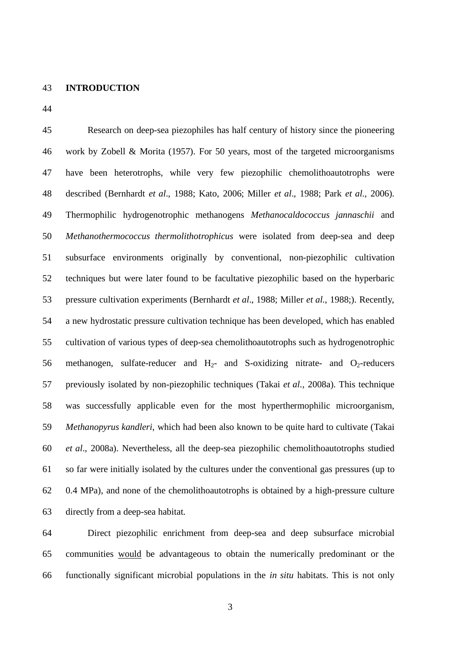#### **INTRODUCTION**

 Research on deep-sea piezophiles has half century of history since the pioneering work by Zobell & Morita (1957). For 50 years, most of the targeted microorganisms have been heterotrophs, while very few piezophilic chemolithoautotrophs were described (Bernhardt *et al*., 1988; Kato, 2006; Miller *et al*., 1988; Park *et al*., 2006). Thermophilic hydrogenotrophic methanogens *Methanocaldococcus jannaschii* and *Methanothermococcus thermolithotrophicus* were isolated from deep-sea and deep subsurface environments originally by conventional, non-piezophilic cultivation techniques but were later found to be facultative piezophilic based on the hyperbaric pressure cultivation experiments (Bernhardt *et al*., 1988; Miller *et al*., 1988;). Recently, a new hydrostatic pressure cultivation technique has been developed, which has enabled cultivation of various types of deep-sea chemolithoautotrophs such as hydrogenotrophic 56 methanogen, sulfate-reducer and  $H_2$ - and S-oxidizing nitrate- and O<sub>2</sub>-reducers previously isolated by non-piezophilic techniques (Takai *et al*., 2008a). This technique was successfully applicable even for the most hyperthermophilic microorganism, *Methanopyrus kandleri*, which had been also known to be quite hard to cultivate (Takai *et al*., 2008a). Nevertheless, all the deep-sea piezophilic chemolithoautotrophs studied so far were initially isolated by the cultures under the conventional gas pressures (up to 0.4 MPa), and none of the chemolithoautotrophs is obtained by a high-pressure culture directly from a deep-sea habitat.

 Direct piezophilic enrichment from deep-sea and deep subsurface microbial communities would be advantageous to obtain the numerically predominant or the functionally significant microbial populations in the *in situ* habitats. This is not only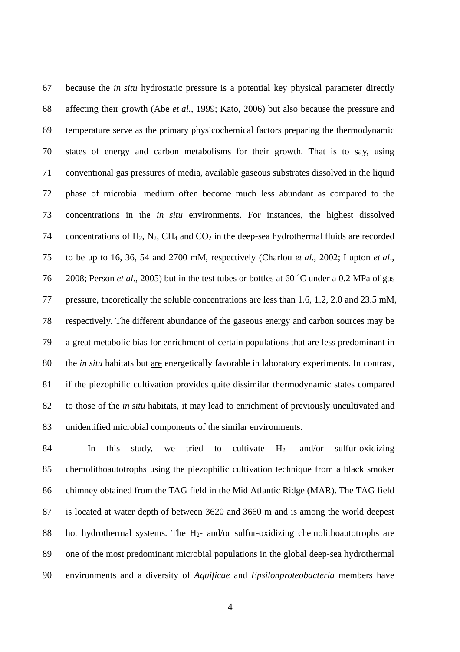because the *in situ* hydrostatic pressure is a potential key physical parameter directly affecting their growth (Abe *et al*., 1999; Kato, 2006) but also because the pressure and temperature serve as the primary physicochemical factors preparing the thermodynamic states of energy and carbon metabolisms for their growth. That is to say, using conventional gas pressures of media, available gaseous substrates dissolved in the liquid phase of microbial medium often become much less abundant as compared to the concentrations in the *in situ* environments. For instances, the highest dissolved 74 concentrations of  $H_2$ ,  $N_2$ , CH<sub>4</sub> and CO<sub>2</sub> in the deep-sea hydrothermal fluids are recorded to be up to 16, 36, 54 and 2700 mM, respectively (Charlou *et al*., 2002; Lupton *et al*., 2008; Person *et al*., 2005) but in the test tubes or bottles at 60 ˚C under a 0.2 MPa of gas pressure, theoretically the soluble concentrations are less than 1.6, 1.2, 2.0 and 23.5 mM, respectively. The different abundance of the gaseous energy and carbon sources may be a great metabolic bias for enrichment of certain populations that are less predominant in the *in situ* habitats but are energetically favorable in laboratory experiments. In contrast, if the piezophilic cultivation provides quite dissimilar thermodynamic states compared to those of the *in situ* habitats, it may lead to enrichment of previously uncultivated and unidentified microbial components of the similar environments.

84 In this study, we tried to cultivate  $H_2$ - and/or sulfur-oxidizing chemolithoautotrophs using the piezophilic cultivation technique from a black smoker chimney obtained from the TAG field in the Mid Atlantic Ridge (MAR). The TAG field is located at water depth of between 3620 and 3660 m and is among the world deepest 88 hot hydrothermal systems. The  $H_2$ - and/or sulfur-oxidizing chemolithoautotrophs are one of the most predominant microbial populations in the global deep-sea hydrothermal environments and a diversity of *Aquificae* and *Epsilonproteobacteria* members have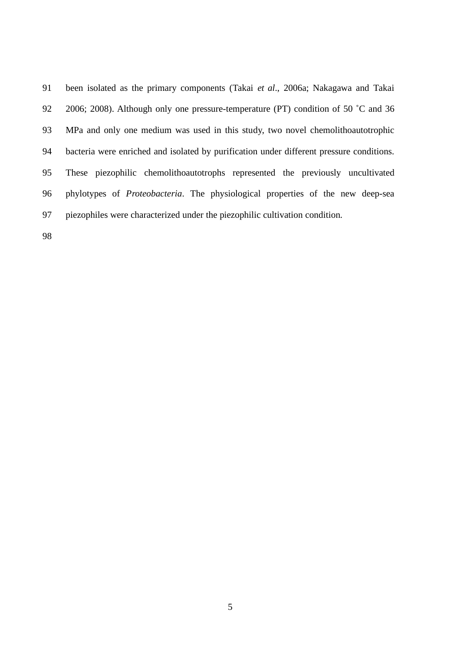been isolated as the primary components (Takai *et al*., 2006a; Nakagawa and Takai 2006; 2008). Although only one pressure-temperature (PT) condition of 50 ˚C and 36 MPa and only one medium was used in this study, two novel chemolithoautotrophic bacteria were enriched and isolated by purification under different pressure conditions. These piezophilic chemolithoautotrophs represented the previously uncultivated phylotypes of *Proteobacteria*. The physiological properties of the new deep-sea piezophiles were characterized under the piezophilic cultivation condition.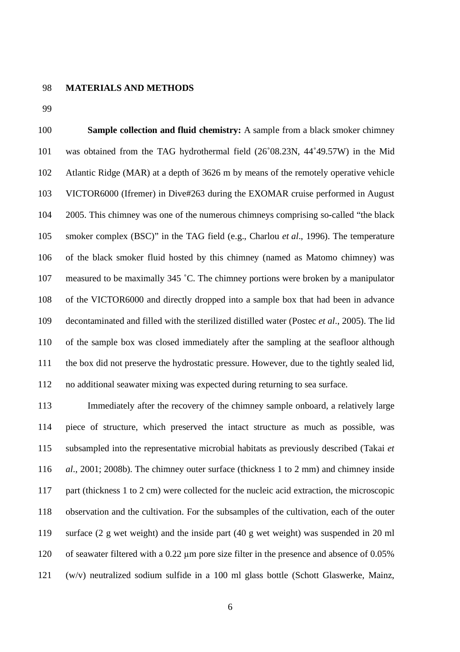#### **MATERIALS AND METHODS**

 **Sample collection and fluid chemistry:** A sample from a black smoker chimney was obtained from the TAG hydrothermal field (26˚08.23N, 44˚49.57W) in the Mid Atlantic Ridge (MAR) at a depth of 3626 m by means of the remotely operative vehicle VICTOR6000 (Ifremer) in Dive#263 during the EXOMAR cruise performed in August 2005. This chimney was one of the numerous chimneys comprising so-called "the black smoker complex (BSC)" in the TAG field (e.g., Charlou *et al*., 1996). The temperature of the black smoker fluid hosted by this chimney (named as Matomo chimney) was measured to be maximally 345 ˚C. The chimney portions were broken by a manipulator of the VICTOR6000 and directly dropped into a sample box that had been in advance decontaminated and filled with the sterilized distilled water (Postec *et al*., 2005). The lid of the sample box was closed immediately after the sampling at the seafloor although the box did not preserve the hydrostatic pressure. However, due to the tightly sealed lid, no additional seawater mixing was expected during returning to sea surface.

 Immediately after the recovery of the chimney sample onboard, a relatively large piece of structure, which preserved the intact structure as much as possible, was subsampled into the representative microbial habitats as previously described (Takai *et al*., 2001; 2008b). The chimney outer surface (thickness 1 to 2 mm) and chimney inside part (thickness 1 to 2 cm) were collected for the nucleic acid extraction, the microscopic observation and the cultivation. For the subsamples of the cultivation, each of the outer surface (2 g wet weight) and the inside part (40 g wet weight) was suspended in 20 ml 120 of seawater filtered with a 0.22  $\mu$ m pore size filter in the presence and absence of 0.05% (w/v) neutralized sodium sulfide in a 100 ml glass bottle (Schott Glaswerke, Mainz,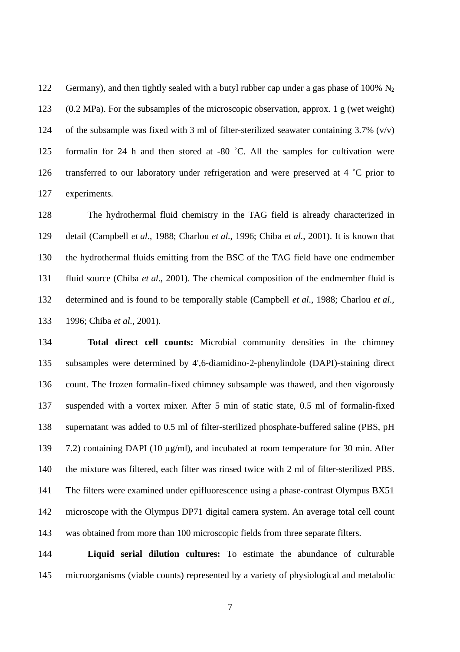122 Germany), and then tightly sealed with a butyl rubber cap under a gas phase of 100%  $N_2$  (0.2 MPa). For the subsamples of the microscopic observation, approx. 1 g (wet weight) of the subsample was fixed with 3 ml of filter-sterilized seawater containing 3.7% (v/v) formalin for 24 h and then stored at -80 ˚C. All the samples for cultivation were transferred to our laboratory under refrigeration and were preserved at 4 ˚C prior to experiments.

 The hydrothermal fluid chemistry in the TAG field is already characterized in detail (Campbell *et al*., 1988; Charlou *et al*., 1996; Chiba *et al*., 2001). It is known that the hydrothermal fluids emitting from the BSC of the TAG field have one endmember fluid source (Chiba *et al*., 2001). The chemical composition of the endmember fluid is determined and is found to be temporally stable (Campbell *et al*., 1988; Charlou *et al*., 1996; Chiba *et al*., 2001).

 **Total direct cell counts:** Microbial community densities in the chimney subsamples were determined by 4',6-diamidino-2-phenylindole (DAPI)-staining direct count. The frozen formalin-fixed chimney subsample was thawed, and then vigorously suspended with a vortex mixer. After 5 min of static state, 0.5 ml of formalin-fixed supernatant was added to 0.5 ml of filter-sterilized phosphate-buffered saline (PBS, pH 7.2) containing DAPI (10 µg/ml), and incubated at room temperature for 30 min. After the mixture was filtered, each filter was rinsed twice with 2 ml of filter-sterilized PBS. The filters were examined under epifluorescence using a phase-contrast Olympus BX51 microscope with the Olympus DP71 digital camera system. An average total cell count was obtained from more than 100 microscopic fields from three separate filters.

 **Liquid serial dilution cultures:** To estimate the abundance of culturable microorganisms (viable counts) represented by a variety of physiological and metabolic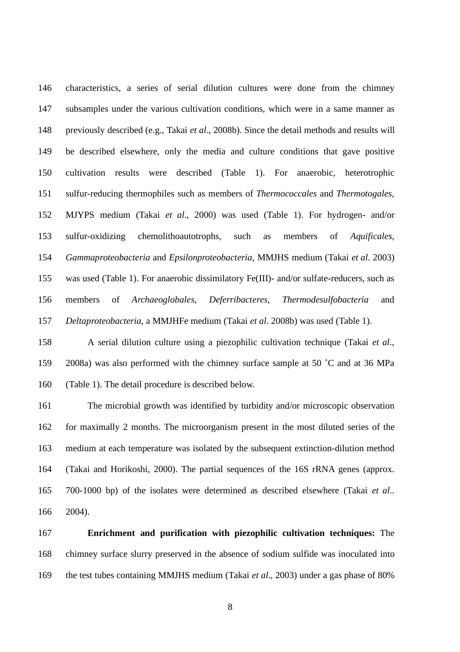characteristics, a series of serial dilution cultures were done from the chimney subsamples under the various cultivation conditions, which were in a same manner as previously described (e.g., Takai *et al*., 2008b). Since the detail methods and results will be described elsewhere, only the media and culture conditions that gave positive cultivation results were described (Table 1). For anaerobic, heterotrophic sulfur-reducing thermophiles such as members of *Thermococcales* and *Thermotogales*, MJYPS medium (Takai *et al*., 2000) was used (Table 1). For hydrogen- and/or sulfur-oxidizing chemolithoautotrophs, such as members of *Aquificales*, *Gammaproteobacteria* and *Epsilonproteobacteria*, MMJHS medium (Takai *et al*. 2003) was used (Table 1). For anaerobic dissimilatory Fe(III)- and/or sulfate-reducers, such as members of *Archaeoglobales*, *Deferribacteres*, *Thermodesulfobacteria* and *Deltaproteobacteria*, a MMJHFe medium (Takai *et al*. 2008b) was used (Table 1).

 A serial dilution culture using a piezophilic cultivation technique (Takai *et al*., 2008a) was also performed with the chimney surface sample at 50 ˚C and at 36 MPa (Table 1). The detail procedure is described below.

 The microbial growth was identified by turbidity and/or microscopic observation for maximally 2 months. The microorganism present in the most diluted series of the medium at each temperature was isolated by the subsequent extinction-dilution method (Takai and Horikoshi, 2000). The partial sequences of the 16S rRNA genes (approx. 700-1000 bp) of the isolates were determined as described elsewhere (Takai *et al*.. 2004).

 **Enrichment and purification with piezophilic cultivation techniques:** The chimney surface slurry preserved in the absence of sodium sulfide was inoculated into the test tubes containing MMJHS medium (Takai *et al*., 2003) under a gas phase of 80%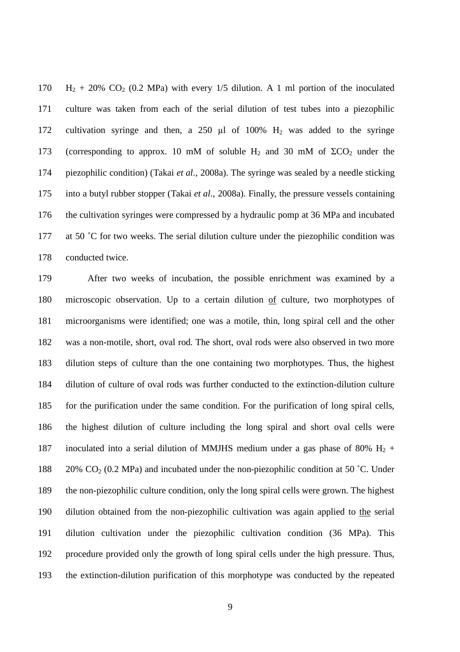$H_2$  + 20% CO<sub>2</sub> (0.2 MPa) with every 1/5 dilution. A 1 ml portion of the inoculated culture was taken from each of the serial dilution of test tubes into a piezophilic cultivation syringe and then, a 250 µl of 100% H2 was added to the syringe 173 (corresponding to approx. 10 mM of soluble  $H_2$  and 30 mM of  $\Sigma CO_2$  under the piezophilic condition) (Takai *et al*., 2008a). The syringe was sealed by a needle sticking into a butyl rubber stopper (Takai *et al*., 2008a). Finally, the pressure vessels containing the cultivation syringes were compressed by a hydraulic pomp at 36 MPa and incubated 177 at 50 °C for two weeks. The serial dilution culture under the piezophilic condition was conducted twice.

 After two weeks of incubation, the possible enrichment was examined by a microscopic observation. Up to a certain dilution of culture, two morphotypes of microorganisms were identified; one was a motile, thin, long spiral cell and the other was a non-motile, short, oval rod. The short, oval rods were also observed in two more dilution steps of culture than the one containing two morphotypes. Thus, the highest dilution of culture of oval rods was further conducted to the extinction-dilution culture for the purification under the same condition. For the purification of long spiral cells, the highest dilution of culture including the long spiral and short oval cells were 187 inoculated into a serial dilution of MMJHS medium under a gas phase of 80%  $H_2$  + 188 20%  $CO_2$  (0.2 MPa) and incubated under the non-piezophilic condition at 50 °C. Under the non-piezophilic culture condition, only the long spiral cells were grown. The highest dilution obtained from the non-piezophilic cultivation was again applied to the serial dilution cultivation under the piezophilic cultivation condition (36 MPa). This procedure provided only the growth of long spiral cells under the high pressure. Thus, the extinction-dilution purification of this morphotype was conducted by the repeated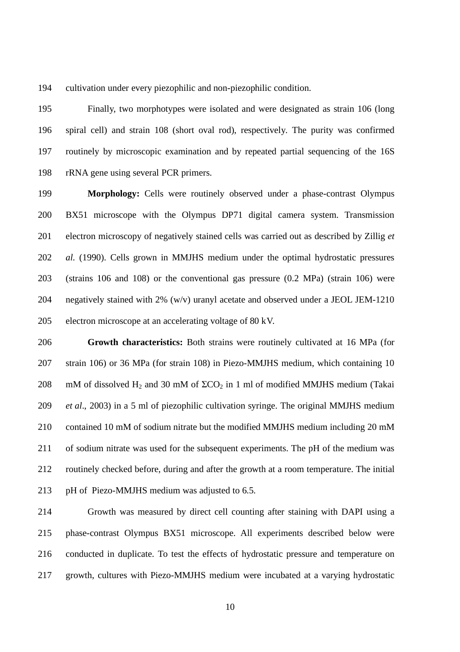cultivation under every piezophilic and non-piezophilic condition.

 Finally, two morphotypes were isolated and were designated as strain 106 (long spiral cell) and strain 108 (short oval rod), respectively. The purity was confirmed routinely by microscopic examination and by repeated partial sequencing of the 16S rRNA gene using several PCR primers.

 **Morphology:** Cells were routinely observed under a phase-contrast Olympus BX51 microscope with the Olympus DP71 digital camera system. Transmission electron microscopy of negatively stained cells was carried out as described by Zillig *et al.* (1990). Cells grown in MMJHS medium under the optimal hydrostatic pressures (strains 106 and 108) or the conventional gas pressure (0.2 MPa) (strain 106) were negatively stained with 2% (w/v) uranyl acetate and observed under a JEOL JEM-1210 electron microscope at an accelerating voltage of 80 kV.

 **Growth characteristics:** Both strains were routinely cultivated at 16 MPa (for strain 106) or 36 MPa (for strain 108) in Piezo-MMJHS medium, which containing 10 208 mM of dissolved H<sub>2</sub> and 30 mM of  $\Sigma$ CO<sub>2</sub> in 1 ml of modified MMJHS medium (Takai *et al*., 2003) in a 5 ml of piezophilic cultivation syringe. The original MMJHS medium contained 10 mM of sodium nitrate but the modified MMJHS medium including 20 mM of sodium nitrate was used for the subsequent experiments. The pH of the medium was routinely checked before, during and after the growth at a room temperature. The initial pH of Piezo-MMJHS medium was adjusted to 6.5.

 Growth was measured by direct cell counting after staining with DAPI using a phase-contrast Olympus BX51 microscope. All experiments described below were conducted in duplicate. To test the effects of hydrostatic pressure and temperature on growth, cultures with Piezo-MMJHS medium were incubated at a varying hydrostatic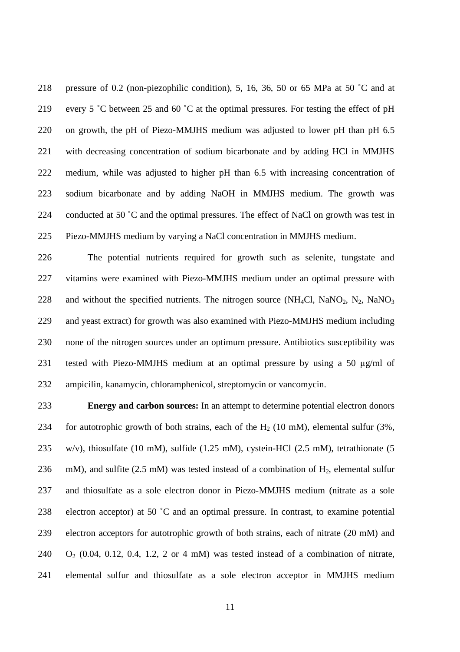pressure of 0.2 (non-piezophilic condition), 5, 16, 36, 50 or 65 MPa at 50 ˚C and at every 5 ˚C between 25 and 60 ˚C at the optimal pressures. For testing the effect of pH on growth, the pH of Piezo-MMJHS medium was adjusted to lower pH than pH 6.5 with decreasing concentration of sodium bicarbonate and by adding HCl in MMJHS medium, while was adjusted to higher pH than 6.5 with increasing concentration of sodium bicarbonate and by adding NaOH in MMJHS medium. The growth was 224 conducted at 50 °C and the optimal pressures. The effect of NaCl on growth was test in Piezo-MMJHS medium by varying a NaCl concentration in MMJHS medium.

 The potential nutrients required for growth such as selenite, tungstate and vitamins were examined with Piezo-MMJHS medium under an optimal pressure with 228 and without the specified nutrients. The nitrogen source (NH<sub>4</sub>Cl, NaNO<sub>2</sub>, N<sub>2</sub>, NaNO<sub>3</sub> and yeast extract) for growth was also examined with Piezo-MMJHS medium including none of the nitrogen sources under an optimum pressure. Antibiotics susceptibility was tested with Piezo-MMJHS medium at an optimal pressure by using a 50 µg/ml of ampicilin, kanamycin, chloramphenicol, streptomycin or vancomycin.

 **Energy and carbon sources:** In an attempt to determine potential electron donors 234 for autotrophic growth of both strains, each of the  $H_2$  (10 mM), elemental sulfur (3%, w/v), thiosulfate (10 mM), sulfide (1.25 mM), cystein-HCl (2.5 mM), tetrathionate (5 236 mM), and sulfite (2.5 mM) was tested instead of a combination of  $H_2$ , elemental sulfur and thiosulfate as a sole electron donor in Piezo-MMJHS medium (nitrate as a sole electron acceptor) at 50 ˚C and an optimal pressure. In contrast, to examine potential electron acceptors for autotrophic growth of both strains, each of nitrate (20 mM) and  $O_2$  (0.04, 0.12, 0.4, 1.2, 2 or 4 mM) was tested instead of a combination of nitrate, elemental sulfur and thiosulfate as a sole electron acceptor in MMJHS medium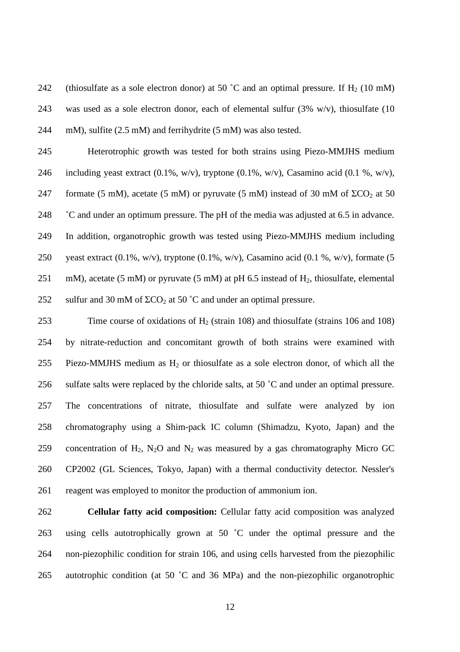242 (thiosulfate as a sole electron donor) at 50 °C and an optimal pressure. If  $H_2$  (10 mM) was used as a sole electron donor, each of elemental sulfur (3% w/v), thiosulfate (10 mM), sulfite (2.5 mM) and ferrihydrite (5 mM) was also tested.

 Heterotrophic growth was tested for both strains using Piezo-MMJHS medium 246 including yeast extract  $(0.1\%, w/v)$ , tryptone  $(0.1\%, w/v)$ , Casamino acid  $(0.1\%, w/v)$ , 247 formate (5 mM), acetate (5 mM) or pyruvate (5 mM) instead of 30 mM of  $\Sigma$ CO<sub>2</sub> at 50 ˚C and under an optimum pressure. The pH of the media was adjusted at 6.5 in advance. In addition, organotrophic growth was tested using Piezo-MMJHS medium including 250 yeast extract  $(0.1\%, w/v)$ , tryptone  $(0.1\%, w/v)$ , Casamino acid  $(0.1\%, w/v)$ , formate (5 251 mM), acetate (5 mM) or pyruvate (5 mM) at pH 6.5 instead of  $H_2$ , thiosulfate, elemental 252 sulfur and 30 mM of  $\Sigma$ CO<sub>2</sub> at 50 °C and under an optimal pressure.

253 Time course of oxidations of  $H_2$  (strain 108) and thiosulfate (strains 106 and 108) by nitrate-reduction and concomitant growth of both strains were examined with 255 Piezo-MMJHS medium as  $H_2$  or thiosulfate as a sole electron donor, of which all the sulfate salts were replaced by the chloride salts, at 50 ˚C and under an optimal pressure. The concentrations of nitrate, thiosulfate and sulfate were analyzed by ion chromatography using a Shim-pack IC column (Shimadzu, Kyoto, Japan) and the 259 concentration of  $H_2$ , N<sub>2</sub>O and N<sub>2</sub> was measured by a gas chromatography Micro GC CP2002 (GL Sciences, Tokyo, Japan) with a thermal conductivity detector. Nessler's reagent was employed to monitor the production of ammonium ion.

 **Cellular fatty acid composition:** Cellular fatty acid composition was analyzed using cells autotrophically grown at 50 ˚C under the optimal pressure and the non-piezophilic condition for strain 106, and using cells harvested from the piezophilic autotrophic condition (at 50 ˚C and 36 MPa) and the non-piezophilic organotrophic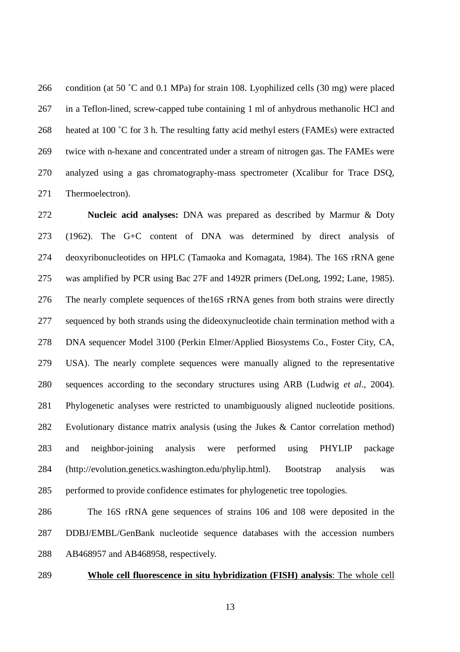condition (at 50 ˚C and 0.1 MPa) for strain 108. Lyophilized cells (30 mg) were placed in a Teflon-lined, screw-capped tube containing 1 ml of anhydrous methanolic HCl and heated at 100 ˚C for 3 h. The resulting fatty acid methyl esters (FAMEs) were extracted twice with n-hexane and concentrated under a stream of nitrogen gas. The FAMEs were analyzed using a gas chromatography-mass spectrometer (Xcalibur for Trace DSQ, Thermoelectron).

 **Nucleic acid analyses:** DNA was prepared as described by Marmur & Doty (1962). The G+C content of DNA was determined by direct analysis of deoxyribonucleotides on HPLC (Tamaoka and Komagata, 1984). The 16S rRNA gene was amplified by PCR using Bac 27F and 1492R primers (DeLong, 1992; Lane, 1985). The nearly complete sequences of the16S rRNA genes from both strains were directly sequenced by both strands using the dideoxynucleotide chain termination method with a DNA sequencer Model 3100 (Perkin Elmer/Applied Biosystems Co., Foster City, CA, USA). The nearly complete sequences were manually aligned to the representative sequences according to the secondary structures using ARB (Ludwig *et al*., 2004). Phylogenetic analyses were restricted to unambiguously aligned nucleotide positions. Evolutionary distance matrix analysis (using the Jukes & Cantor correlation method) and neighbor-joining analysis were performed using PHYLIP package (http://evolution.genetics.washington.edu/phylip.html). Bootstrap analysis was performed to provide confidence estimates for phylogenetic tree topologies.

 The 16S rRNA gene sequences of strains 106 and 108 were deposited in the DDBJ/EMBL/GenBank nucleotide sequence databases with the accession numbers AB468957 and AB468958, respectively.

**Whole cell fluorescence in situ hybridization (FISH) analysis**: The whole cell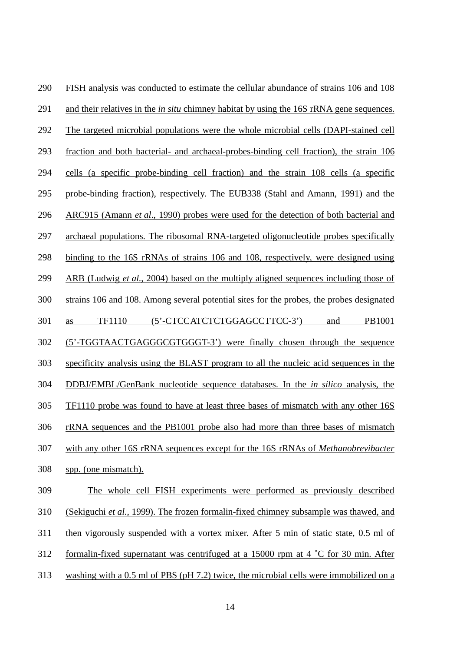FISH analysis was conducted to estimate the cellular abundance of strains 106 and 108 and their relatives in the *in situ* chimney habitat by using the 16S rRNA gene sequences. The targeted microbial populations were the whole microbial cells (DAPI-stained cell fraction and both bacterial- and archaeal-probes-binding cell fraction), the strain 106 cells (a specific probe-binding cell fraction) and the strain 108 cells (a specific probe-binding fraction), respectively. The EUB338 (Stahl and Amann, 1991) and the ARC915 (Amann *et al*., 1990) probes were used for the detection of both bacterial and archaeal populations. The ribosomal RNA-targeted oligonucleotide probes specifically binding to the 16S rRNAs of strains 106 and 108, respectively, were designed using ARB (Ludwig *et al*., 2004) based on the multiply aligned sequences including those of strains 106 and 108. Among several potential sites for the probes, the probes designated as TF1110 (5'-CTCCATCTCTGGAGCCTTCC-3') and PB1001 (5'-TGGTAACTGAGGGCGTGGGT-3') were finally chosen through the sequence specificity analysis using the BLAST program to all the nucleic acid sequences in the DDBJ/EMBL/GenBank nucleotide sequence databases. In the *in silico* analysis, the TF1110 probe was found to have at least three bases of mismatch with any other 16S rRNA sequences and the PB1001 probe also had more than three bases of mismatch with any other 16S rRNA sequences except for the 16S rRNAs of *Methanobrevibacter* spp. (one mismatch). The whole cell FISH experiments were performed as previously described (Sekiguchi *et al*., 1999). The frozen formalin-fixed chimney subsample was thawed, and 311 then vigorously suspended with a vortex mixer. After 5 min of static state, 0.5 ml of formalin-fixed supernatant was centrifuged at a 15000 rpm at 4 ˚C for 30 min. After washing with a 0.5 ml of PBS (pH 7.2) twice, the microbial cells were immobilized on a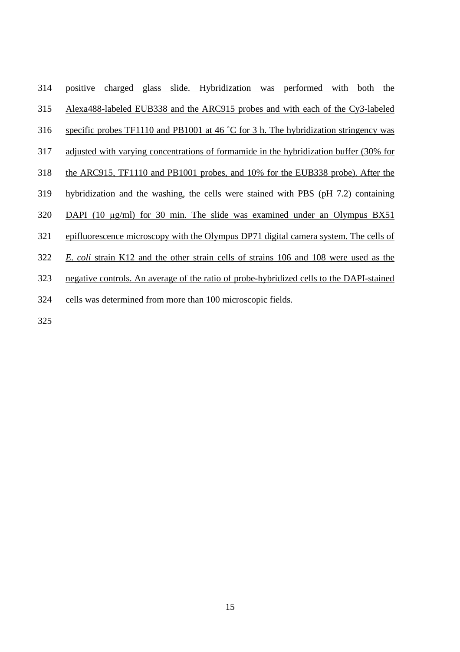| 314 | slide. Hybridization<br>positive<br>charged glass<br>performed<br>with<br>both<br>the<br>was  |
|-----|-----------------------------------------------------------------------------------------------|
| 315 | Alexa488-labeled EUB338 and the ARC915 probes and with each of the Cy3-labeled                |
| 316 | specific probes TF1110 and PB1001 at 46 $\degree$ C for 3 h. The hybridization stringency was |
| 317 | adjusted with varying concentrations of formamide in the hybridization buffer (30% for        |
| 318 | the ARC915, TF1110 and PB1001 probes, and 10% for the EUB338 probe). After the                |
| 319 | hybridization and the washing, the cells were stained with PBS (pH 7.2) containing            |
| 320 | DAPI (10 $\mu$ g/ml) for 30 min. The slide was examined under an Olympus BX51                 |
| 321 | epifluorescence microscopy with the Olympus DP71 digital camera system. The cells of          |
| 322 | <i>E. coli</i> strain K12 and the other strain cells of strains 106 and 108 were used as the  |
| 323 | negative controls. An average of the ratio of probe-hybridized cells to the DAPI-stained      |
| 324 | cells was determined from more than 100 microscopic fields.                                   |
| 325 |                                                                                               |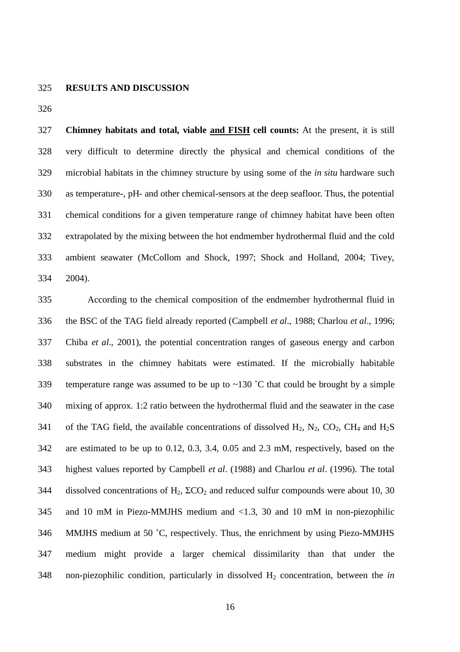#### **RESULTS AND DISCUSSION**

 **Chimney habitats and total, viable and FISH cell counts:** At the present, it is still very difficult to determine directly the physical and chemical conditions of the microbial habitats in the chimney structure by using some of the *in situ* hardware such as temperature-, pH- and other chemical-sensors at the deep seafloor. Thus, the potential chemical conditions for a given temperature range of chimney habitat have been often extrapolated by the mixing between the hot endmember hydrothermal fluid and the cold ambient seawater (McCollom and Shock, 1997; Shock and Holland, 2004; Tivey, 2004).

 According to the chemical composition of the endmember hydrothermal fluid in the BSC of the TAG field already reported (Campbell *et al*., 1988; Charlou *et al*., 1996; Chiba *et al*., 2001), the potential concentration ranges of gaseous energy and carbon substrates in the chimney habitats were estimated. If the microbially habitable 339 temperature range was assumed to be up to  $\sim$ 130 °C that could be brought by a simple mixing of approx. 1:2 ratio between the hydrothermal fluid and the seawater in the case 341 of the TAG field, the available concentrations of dissolved  $H_2$ ,  $N_2$ ,  $CO_2$ ,  $CH_4$  and  $H_2S$  are estimated to be up to 0.12, 0.3, 3.4, 0.05 and 2.3 mM, respectively, based on the highest values reported by Campbell *et al*. (1988) and Charlou *et al*. (1996). The total 344 dissolved concentrations of  $H_2$ ,  $\Sigma CO_2$  and reduced sulfur compounds were about 10, 30 and 10 mM in Piezo-MMJHS medium and <1.3, 30 and 10 mM in non-piezophilic MMJHS medium at 50 ˚C, respectively. Thus, the enrichment by using Piezo-MMJHS medium might provide a larger chemical dissimilarity than that under the non-piezophilic condition, particularly in dissolved  $H_2$  concentration, between the *in*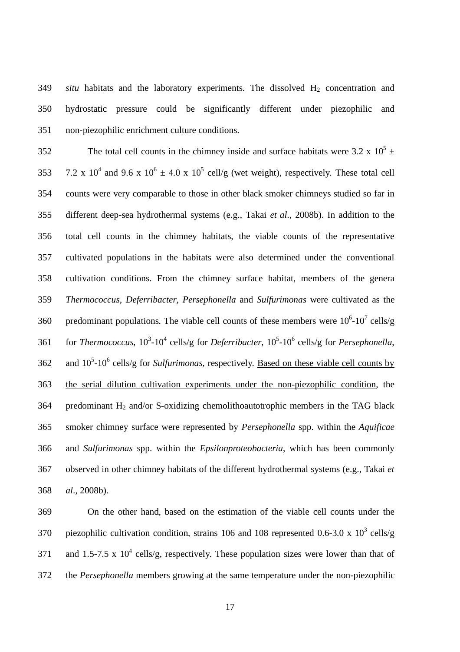*situ* habitats and the laboratory experiments. The dissolved  $H_2$  concentration and hydrostatic pressure could be significantly different under piezophilic and non-piezophilic enrichment culture conditions.

The total cell counts in the chimney inside and surface habitats were 3.2 x  $10^5 \pm$ 353 7.2 x 10<sup>4</sup> and 9.6 x 10<sup>6</sup>  $\pm$  4.0 x 10<sup>5</sup> cell/g (wet weight), respectively. These total cell counts were very comparable to those in other black smoker chimneys studied so far in different deep-sea hydrothermal systems (e.g., Takai *et al*., 2008b). In addition to the total cell counts in the chimney habitats, the viable counts of the representative cultivated populations in the habitats were also determined under the conventional cultivation conditions. From the chimney surface habitat, members of the genera *Thermococcus*, *Deferribacter*, *Persephonella* and *Sulfurimonas* were cultivated as the 360 predominant populations. The viable cell counts of these members were  $10^6$ - $10^7$  cells/g 361 for *Thermococcus*,  $10^3$ -10<sup>4</sup> cells/g for *Deferribacter*,  $10^5$ -10<sup>6</sup> cells/g for *Persephonella*, 362 and 10<sup>5</sup>-10<sup>6</sup> cells/g for *Sulfurimonas*, respectively. <u>Based on these viable cell counts by</u> the serial dilution cultivation experiments under the non-piezophilic condition, the 364 predominant  $H_2$  and/or S-oxidizing chemolithoautotrophic members in the TAG black smoker chimney surface were represented by *Persephonella* spp. within the *Aquificae* and *Sulfurimonas* spp. within the *Epsilonproteobacteria*, which has been commonly observed in other chimney habitats of the different hydrothermal systems (e.g., Takai *et al*., 2008b).

 On the other hand, based on the estimation of the viable cell counts under the 370 piezophilic cultivation condition, strains 106 and 108 represented 0.6-3.0 x  $10^3$  cells/g 371 and 1.5-7.5 x  $10^4$  cells/g, respectively. These population sizes were lower than that of the *Persephonella* members growing at the same temperature under the non-piezophilic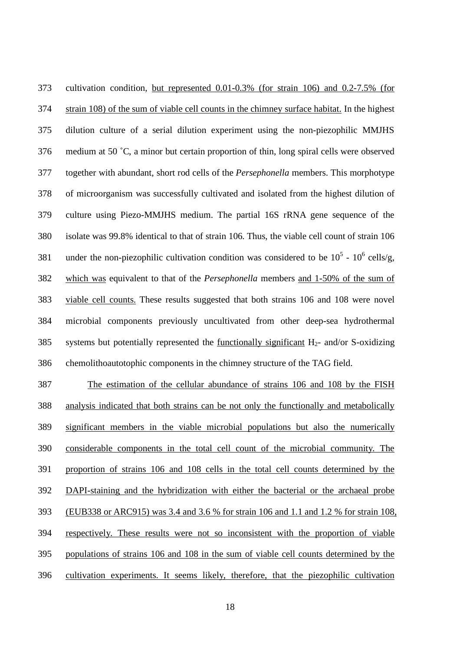cultivation condition, but represented 0.01-0.3% (for strain 106) and 0.2-7.5% (for strain 108) of the sum of viable cell counts in the chimney surface habitat. In the highest dilution culture of a serial dilution experiment using the non-piezophilic MMJHS medium at 50 ˚C, a minor but certain proportion of thin, long spiral cells were observed together with abundant, short rod cells of the *Persephonella* members. This morphotype of microorganism was successfully cultivated and isolated from the highest dilution of culture using Piezo-MMJHS medium. The partial 16S rRNA gene sequence of the isolate was 99.8% identical to that of strain 106. Thus, the viable cell count of strain 106 381 under the non-piezophilic cultivation condition was considered to be  $10^5$  -  $10^6$  cells/g, which was equivalent to that of the *Persephonella* members and 1-50% of the sum of viable cell counts. These results suggested that both strains 106 and 108 were novel microbial components previously uncultivated from other deep-sea hydrothermal 385 systems but potentially represented the <u>functionally significant</u>  $H_2$ - and/or S-oxidizing chemolithoautotophic components in the chimney structure of the TAG field.

 The estimation of the cellular abundance of strains 106 and 108 by the FISH analysis indicated that both strains can be not only the functionally and metabolically significant members in the viable microbial populations but also the numerically considerable components in the total cell count of the microbial community. The proportion of strains 106 and 108 cells in the total cell counts determined by the DAPI-staining and the hybridization with either the bacterial or the archaeal probe (EUB338 or ARC915) was 3.4 and 3.6 % for strain 106 and 1.1 and 1.2 % for strain 108, respectively. These results were not so inconsistent with the proportion of viable populations of strains 106 and 108 in the sum of viable cell counts determined by the cultivation experiments. It seems likely, therefore, that the piezophilic cultivation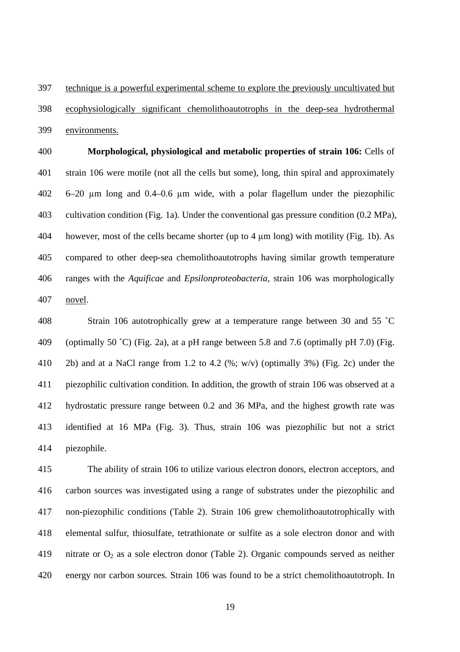technique is a powerful experimental scheme to explore the previously uncultivated but ecophysiologically significant chemolithoautotrophs in the deep-sea hydrothermal environments.

 **Morphological, physiological and metabolic properties of strain 106:** Cells of strain 106 were motile (not all the cells but some), long, thin spiral and approximately 6–20 µm long and 0.4–0.6 µm wide, with a polar flagellum under the piezophilic cultivation condition (Fig. 1a). Under the conventional gas pressure condition (0.2 MPa), however, most of the cells became shorter (up to 4 µm long) with motility (Fig. 1b). As compared to other deep-sea chemolithoautotrophs having similar growth temperature ranges with the *Aquificae* and *Epsilonproteobacteria*, strain 106 was morphologically novel.

 Strain 106 autotrophically grew at a temperature range between 30 and 55 ˚C (optimally 50 ˚C) (Fig. 2a), at a pH range between 5.8 and 7.6 (optimally pH 7.0) (Fig. 2b) and at a NaCl range from 1.2 to 4.2 (%; w/v) (optimally 3%) (Fig. 2c) under the piezophilic cultivation condition. In addition, the growth of strain 106 was observed at a hydrostatic pressure range between 0.2 and 36 MPa, and the highest growth rate was identified at 16 MPa (Fig. 3). Thus, strain 106 was piezophilic but not a strict piezophile.

 The ability of strain 106 to utilize various electron donors, electron acceptors, and carbon sources was investigated using a range of substrates under the piezophilic and non-piezophilic conditions (Table 2). Strain 106 grew chemolithoautotrophically with elemental sulfur, thiosulfate, tetrathionate or sulfite as a sole electron donor and with 419 nitrate or  $O_2$  as a sole electron donor (Table 2). Organic compounds served as neither energy nor carbon sources. Strain 106 was found to be a strict chemolithoautotroph. In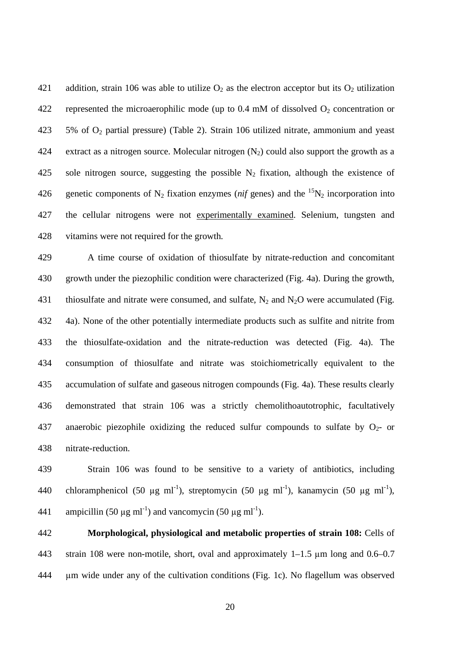421 addition, strain 106 was able to utilize  $O_2$  as the electron acceptor but its  $O_2$  utilization 422 represented the microaerophilic mode (up to  $0.4$  mM of dissolved  $O_2$  concentration or 5% of O2 partial pressure) (Table 2). Strain 106 utilized nitrate, ammonium and yeast 424 extract as a nitrogen source. Molecular nitrogen  $(N_2)$  could also support the growth as a 425 sole nitrogen source, suggesting the possible  $N_2$  fixation, although the existence of 426 genetic components of  $N_2$  fixation enzymes (*nif* genes) and the <sup>15</sup> $N_2$  incorporation into the cellular nitrogens were not experimentally examined. Selenium, tungsten and vitamins were not required for the growth.

 A time course of oxidation of thiosulfate by nitrate-reduction and concomitant growth under the piezophilic condition were characterized (Fig. 4a). During the growth, 431 thiosulfate and nitrate were consumed, and sulfate,  $N_2$  and  $N_2O$  were accumulated (Fig. 4a). None of the other potentially intermediate products such as sulfite and nitrite from the thiosulfate-oxidation and the nitrate-reduction was detected (Fig. 4a). The consumption of thiosulfate and nitrate was stoichiometrically equivalent to the accumulation of sulfate and gaseous nitrogen compounds (Fig. 4a). These results clearly demonstrated that strain 106 was a strictly chemolithoautotrophic, facultatively 437 anaerobic piezophile oxidizing the reduced sulfur compounds to sulfate by  $O<sub>2</sub>$  or nitrate-reduction.

 Strain 106 was found to be sensitive to a variety of antibiotics, including 440 chloramphenicol (50  $\mu$ g ml<sup>-1</sup>), streptomycin (50  $\mu$ g ml<sup>-1</sup>), kanamycin (50  $\mu$ g ml<sup>-1</sup>), 441 ampicillin (50  $\mu$ g ml<sup>-1</sup>) and vancomycin (50  $\mu$ g ml<sup>-1</sup>).

 **Morphological, physiological and metabolic properties of strain 108:** Cells of strain 108 were non-motile, short, oval and approximately 1–1.5 µm long and 0.6–0.7 µm wide under any of the cultivation conditions (Fig. 1c). No flagellum was observed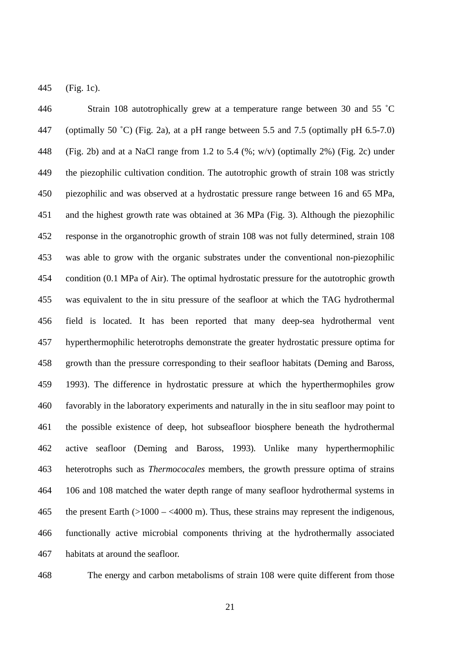(Fig. 1c).

 Strain 108 autotrophically grew at a temperature range between 30 and 55 ˚C (optimally 50 ˚C) (Fig. 2a), at a pH range between 5.5 and 7.5 (optimally pH 6.5-7.0) (Fig. 2b) and at a NaCl range from 1.2 to 5.4 (%; w/v) (optimally 2%) (Fig. 2c) under the piezophilic cultivation condition. The autotrophic growth of strain 108 was strictly piezophilic and was observed at a hydrostatic pressure range between 16 and 65 MPa, and the highest growth rate was obtained at 36 MPa (Fig. 3). Although the piezophilic response in the organotrophic growth of strain 108 was not fully determined, strain 108 was able to grow with the organic substrates under the conventional non-piezophilic condition (0.1 MPa of Air). The optimal hydrostatic pressure for the autotrophic growth was equivalent to the in situ pressure of the seafloor at which the TAG hydrothermal field is located. It has been reported that many deep-sea hydrothermal vent hyperthermophilic heterotrophs demonstrate the greater hydrostatic pressure optima for growth than the pressure corresponding to their seafloor habitats (Deming and Baross, 1993). The difference in hydrostatic pressure at which the hyperthermophiles grow favorably in the laboratory experiments and naturally in the in situ seafloor may point to the possible existence of deep, hot subseafloor biosphere beneath the hydrothermal active seafloor (Deming and Baross, 1993). Unlike many hyperthermophilic heterotrophs such as *Thermococales* members, the growth pressure optima of strains 106 and 108 matched the water depth range of many seafloor hydrothermal systems in the present Earth (>1000 – <4000 m). Thus, these strains may represent the indigenous, functionally active microbial components thriving at the hydrothermally associated habitats at around the seafloor.

The energy and carbon metabolisms of strain 108 were quite different from those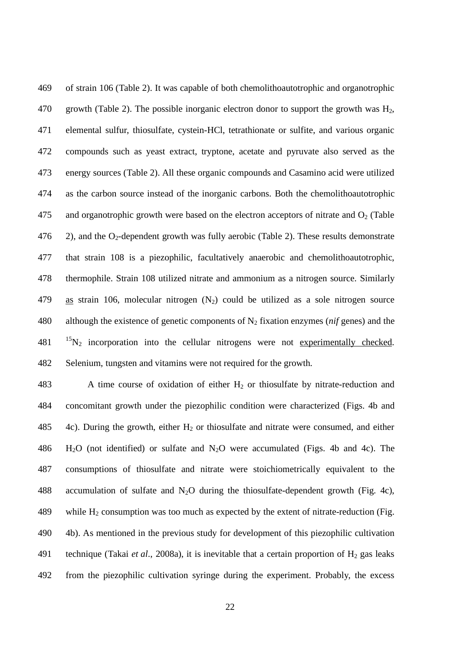469 of strain 106 (Table 2). It was capable of both chemolithoautotrophic and organotrophic 470 growth (Table 2). The possible inorganic electron donor to support the growth was  $H_2$ , 471 elemental sulfur, thiosulfate, cystein-HCl, tetrathionate or sulfite, and various organic 472 compounds such as yeast extract, tryptone, acetate and pyruvate also served as the 473 energy sources (Table 2). All these organic compounds and Casamino acid were utilized 474 as the carbon source instead of the inorganic carbons. Both the chemolithoautotrophic 475 and organotrophic growth were based on the electron acceptors of nitrate and  $O<sub>2</sub>$  (Table 476 2), and the O<sub>2</sub>-dependent growth was fully aerobic (Table 2). These results demonstrate 477 that strain 108 is a piezophilic, facultatively anaerobic and chemolithoautotrophic, 478 thermophile. Strain 108 utilized nitrate and ammonium as a nitrogen source. Similarly 479 as strain 106, molecular nitrogen  $(N_2)$  could be utilized as a sole nitrogen source 480 although the existence of genetic components of  $N_2$  fixation enzymes (*nif* genes) and the  $15N_2$  incorporation into the cellular nitrogens were not experimentally checked. 482 Selenium, tungsten and vitamins were not required for the growth.

483 A time course of oxidation of either  $H_2$  or thiosulfate by nitrate-reduction and 484 concomitant growth under the piezophilic condition were characterized (Figs. 4b and 485 4c). During the growth, either  $H_2$  or thiosulfate and nitrate were consumed, and either 486 H<sub>2</sub>O (not identified) or sulfate and N<sub>2</sub>O were accumulated (Figs. 4b and 4c). The 487 consumptions of thiosulfate and nitrate were stoichiometrically equivalent to the 488 accumulation of sulfate and  $N_2O$  during the thiosulfate-dependent growth (Fig. 4c), 489 while  $H_2$  consumption was too much as expected by the extent of nitrate-reduction (Fig. 490 4b). As mentioned in the previous study for development of this piezophilic cultivation 491 technique (Takai *et al.*, 2008a), it is inevitable that a certain proportion of  $H_2$  gas leaks 492 from the piezophilic cultivation syringe during the experiment. Probably, the excess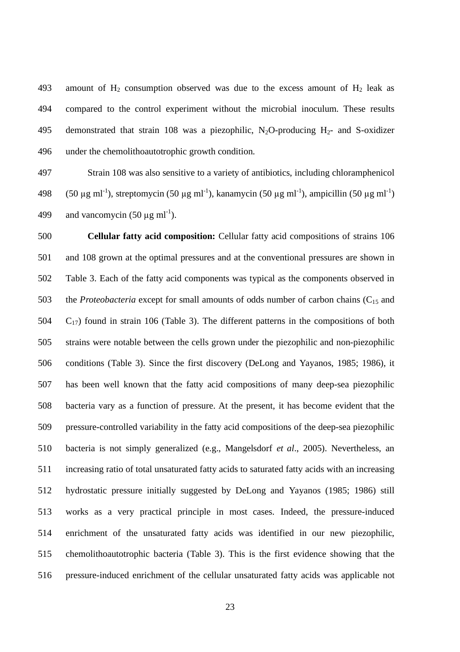493 amount of  $H_2$  consumption observed was due to the excess amount of  $H_2$  leak as compared to the control experiment without the microbial inoculum. These results 495 demonstrated that strain 108 was a piezophilic,  $N_2O$ -producing  $H_2$ - and S-oxidizer under the chemolithoautotrophic growth condition.

 Strain 108 was also sensitive to a variety of antibiotics, including chloramphenicol 498 (50 µg ml<sup>-1</sup>), streptomycin (50 µg ml<sup>-1</sup>), kanamycin (50 µg ml<sup>-1</sup>), ampicillin (50 µg ml<sup>-1</sup>) 499 and vancomycin  $(50 \mu g \text{ ml}^{-1})$ .

 **Cellular fatty acid composition:** Cellular fatty acid compositions of strains 106 and 108 grown at the optimal pressures and at the conventional pressures are shown in Table 3. Each of the fatty acid components was typical as the components observed in 503 the *Proteobacteria* except for small amounts of odds number of carbon chains  $(C_{15}$  and  $C_{17}$ ) found in strain 106 (Table 3). The different patterns in the compositions of both strains were notable between the cells grown under the piezophilic and non-piezophilic conditions (Table 3). Since the first discovery (DeLong and Yayanos, 1985; 1986), it has been well known that the fatty acid compositions of many deep-sea piezophilic bacteria vary as a function of pressure. At the present, it has become evident that the pressure-controlled variability in the fatty acid compositions of the deep-sea piezophilic bacteria is not simply generalized (e.g., Mangelsdorf *et al*., 2005). Nevertheless, an increasing ratio of total unsaturated fatty acids to saturated fatty acids with an increasing hydrostatic pressure initially suggested by DeLong and Yayanos (1985; 1986) still works as a very practical principle in most cases. Indeed, the pressure-induced enrichment of the unsaturated fatty acids was identified in our new piezophilic, chemolithoautotrophic bacteria (Table 3). This is the first evidence showing that the pressure-induced enrichment of the cellular unsaturated fatty acids was applicable not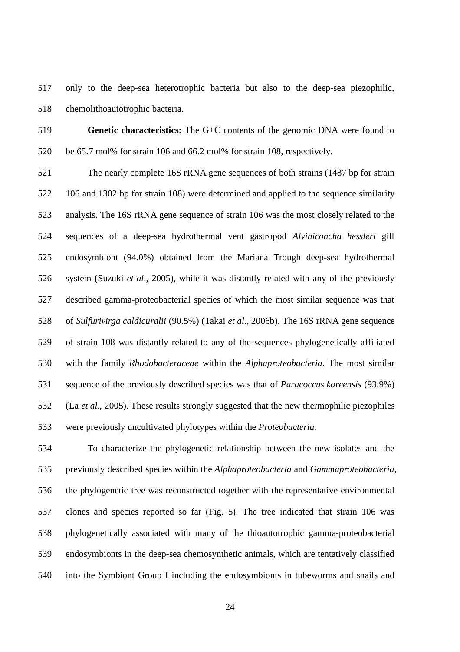only to the deep-sea heterotrophic bacteria but also to the deep-sea piezophilic, chemolithoautotrophic bacteria.

 **Genetic characteristics:** The G+C contents of the genomic DNA were found to be 65.7 mol% for strain 106 and 66.2 mol% for strain 108, respectively.

 The nearly complete 16S rRNA gene sequences of both strains (1487 bp for strain 106 and 1302 bp for strain 108) were determined and applied to the sequence similarity analysis. The 16S rRNA gene sequence of strain 106 was the most closely related to the sequences of a deep-sea hydrothermal vent gastropod *Alviniconcha hessleri* gill endosymbiont (94.0%) obtained from the Mariana Trough deep-sea hydrothermal system (Suzuki *et al*., 2005), while it was distantly related with any of the previously described gamma-proteobacterial species of which the most similar sequence was that of *Sulfurivirga caldicuralii* (90.5%) (Takai *et al*., 2006b). The 16S rRNA gene sequence of strain 108 was distantly related to any of the sequences phylogenetically affiliated with the family *Rhodobacteraceae* within the *Alphaproteobacteria*. The most similar sequence of the previously described species was that of *Paracoccus koreensis* (93.9%) (La *et al*., 2005). These results strongly suggested that the new thermophilic piezophiles were previously uncultivated phylotypes within the *Proteobacteria.*

 To characterize the phylogenetic relationship between the new isolates and the previously described species within the *Alphaproteobacteria* and *Gammaproteobacteria*, the phylogenetic tree was reconstructed together with the representative environmental clones and species reported so far (Fig. 5). The tree indicated that strain 106 was phylogenetically associated with many of the thioautotrophic gamma-proteobacterial endosymbionts in the deep-sea chemosynthetic animals, which are tentatively classified into the Symbiont Group I including the endosymbionts in tubeworms and snails and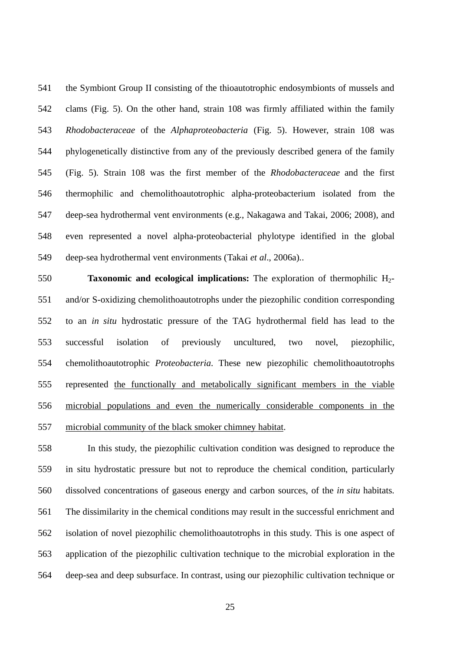the Symbiont Group II consisting of the thioautotrophic endosymbionts of mussels and clams (Fig. 5). On the other hand, strain 108 was firmly affiliated within the family *Rhodobacteraceae* of the *Alphaproteobacteria* (Fig. 5). However, strain 108 was phylogenetically distinctive from any of the previously described genera of the family (Fig. 5). Strain 108 was the first member of the *Rhodobacteraceae* and the first thermophilic and chemolithoautotrophic alpha-proteobacterium isolated from the deep-sea hydrothermal vent environments (e.g., Nakagawa and Takai, 2006; 2008), and even represented a novel alpha-proteobacterial phylotype identified in the global deep-sea hydrothermal vent environments (Takai *et al*., 2006a)..

 **Taxonomic and ecological implications:** The exploration of thermophilic H2- and/or S-oxidizing chemolithoautotrophs under the piezophilic condition corresponding to an *in situ* hydrostatic pressure of the TAG hydrothermal field has lead to the successful isolation of previously uncultured, two novel, piezophilic, chemolithoautotrophic *Proteobacteria*. These new piezophilic chemolithoautotrophs represented the functionally and metabolically significant members in the viable microbial populations and even the numerically considerable components in the microbial community of the black smoker chimney habitat.

 In this study, the piezophilic cultivation condition was designed to reproduce the in situ hydrostatic pressure but not to reproduce the chemical condition, particularly dissolved concentrations of gaseous energy and carbon sources, of the *in situ* habitats. The dissimilarity in the chemical conditions may result in the successful enrichment and isolation of novel piezophilic chemolithoautotrophs in this study. This is one aspect of application of the piezophilic cultivation technique to the microbial exploration in the deep-sea and deep subsurface. In contrast, using our piezophilic cultivation technique or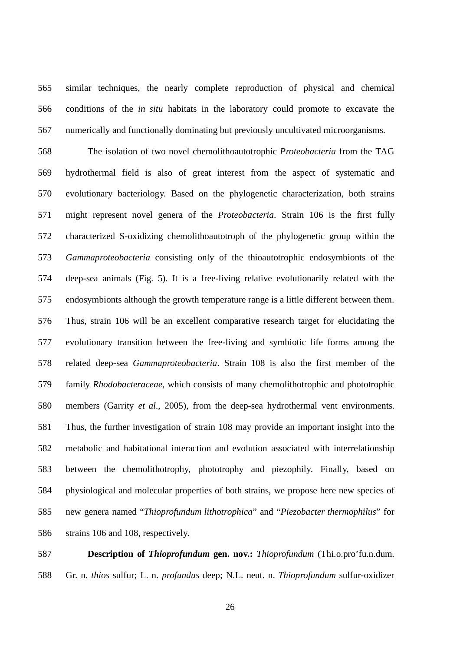similar techniques, the nearly complete reproduction of physical and chemical conditions of the *in situ* habitats in the laboratory could promote to excavate the numerically and functionally dominating but previously uncultivated microorganisms.

 The isolation of two novel chemolithoautotrophic *Proteobacteria* from the TAG hydrothermal field is also of great interest from the aspect of systematic and evolutionary bacteriology. Based on the phylogenetic characterization, both strains might represent novel genera of the *Proteobacteria*. Strain 106 is the first fully characterized S-oxidizing chemolithoautotroph of the phylogenetic group within the *Gammaproteobacteria* consisting only of the thioautotrophic endosymbionts of the deep-sea animals (Fig. 5). It is a free-living relative evolutionarily related with the endosymbionts although the growth temperature range is a little different between them. Thus, strain 106 will be an excellent comparative research target for elucidating the evolutionary transition between the free-living and symbiotic life forms among the related deep-sea *Gammaproteobacteria*. Strain 108 is also the first member of the family *Rhodobacteraceae*, which consists of many chemolithotrophic and phototrophic members (Garrity *et al*., 2005), from the deep-sea hydrothermal vent environments. Thus, the further investigation of strain 108 may provide an important insight into the metabolic and habitational interaction and evolution associated with interrelationship between the chemolithotrophy, phototrophy and piezophily. Finally, based on physiological and molecular properties of both strains, we propose here new species of new genera named "*Thioprofundum lithotrophica*" and "*Piezobacter thermophilus*" for strains 106 and 108, respectively.

 **Description of** *Thioprofundum* **gen. nov.:** *Thioprofundum* (Thi.o.pro'fu.n.dum. Gr. n. *thios* sulfur; L. n. *profundus* deep; N.L. neut. n. *Thioprofundum* sulfur-oxidizer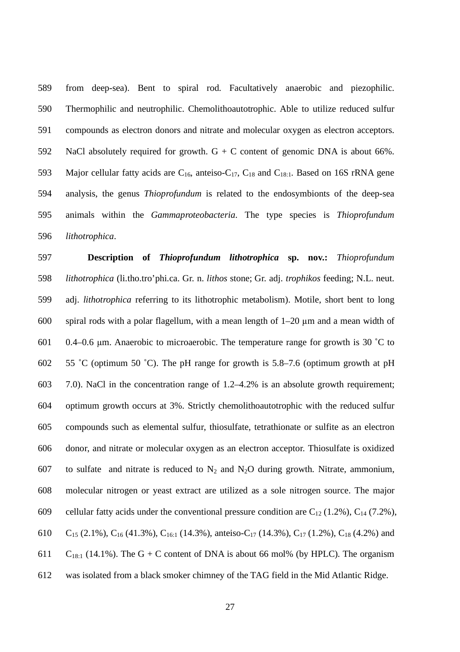from deep-sea). Bent to spiral rod. Facultatively anaerobic and piezophilic. Thermophilic and neutrophilic. Chemolithoautotrophic. Able to utilize reduced sulfur compounds as electron donors and nitrate and molecular oxygen as electron acceptors. 592 NaCl absolutely required for growth.  $G + C$  content of genomic DNA is about 66%. 593 Major cellular fatty acids are  $C_{16}$ , anteiso- $C_{17}$ ,  $C_{18}$  and  $C_{18:1}$ . Based on 16S rRNA gene analysis, the genus *Thioprofundum* is related to the endosymbionts of the deep-sea animals within the *Gammaproteobacteria*. The type species is *Thioprofundum lithotrophica*.

 **Description of** *Thioprofundum lithotrophica* **sp. nov.:** *Thioprofundum lithotrophica* (li.tho.tro'phi.ca. Gr. n. *lithos* stone; Gr. adj. *trophikos* feeding; N.L. neut. adj. *lithotrophica* referring to its lithotrophic metabolism). Motile, short bent to long 600 spiral rods with a polar flagellum, with a mean length of  $1-20 \mu m$  and a mean width of 0.4–0.6 µm. Anaerobic to microaerobic. The temperature range for growth is 30 ˚C to 55 ˚C (optimum 50 ˚C). The pH range for growth is 5.8–7.6 (optimum growth at pH 7.0). NaCl in the concentration range of 1.2–4.2% is an absolute growth requirement; optimum growth occurs at 3%. Strictly chemolithoautotrophic with the reduced sulfur compounds such as elemental sulfur, thiosulfate, tetrathionate or sulfite as an electron donor, and nitrate or molecular oxygen as an electron acceptor. Thiosulfate is oxidized 607 to sulfate and nitrate is reduced to  $N_2$  and  $N_2O$  during growth. Nitrate, ammonium, molecular nitrogen or yeast extract are utilized as a sole nitrogen source. The major 609 cellular fatty acids under the conventional pressure condition are  $C_{12}$  (1.2%),  $C_{14}$  (7.2%), 610 C<sub>15</sub> (2.1%), C<sub>16</sub> (41.3%), C<sub>16:1</sub> (14.3%), anteiso-C<sub>17</sub> (14.3%), C<sub>17</sub> (1.2%), C<sub>18</sub> (4.2%) and 611 C<sub>18:1</sub> (14.1%). The G + C content of DNA is about 66 mol% (by HPLC). The organism was isolated from a black smoker chimney of the TAG field in the Mid Atlantic Ridge.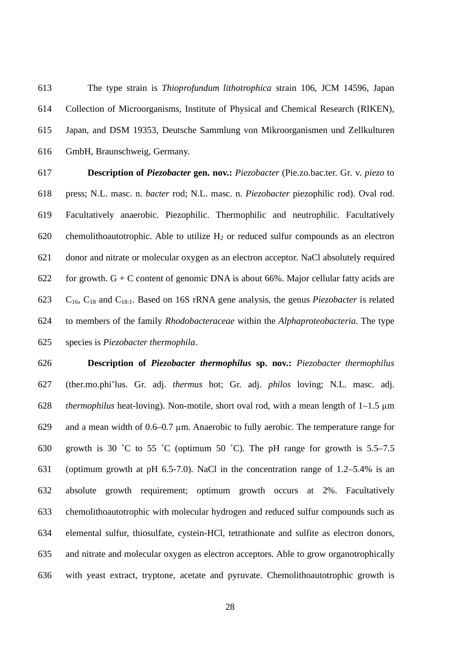The type strain is *Thioprofundum lithotrophica* strain 106, JCM 14596, Japan Collection of Microorganisms, Institute of Physical and Chemical Research (RIKEN), Japan, and DSM 19353, Deutsche Sammlung von Mikroorganismen und Zellkulturen GmbH, Braunschweig, Germany.

 **Description of** *Piezobacter* **gen. nov.:** *Piezobacter* (Pie.zo.bac.ter. Gr. v. *piezo* to press; N.L. masc. n. *bacter* rod; N.L. masc. n. *Piezobacter* piezophilic rod). Oval rod. Facultatively anaerobic. Piezophilic. Thermophilic and neutrophilic. Facultatively 620 chemolithoautotrophic. Able to utilize  $H_2$  or reduced sulfur compounds as an electron donor and nitrate or molecular oxygen as an electron acceptor. NaCl absolutely required 622 for growth.  $G + C$  content of genomic DNA is about 66%. Major cellular fatty acids are C16, C18 and C18:1. Based on 16S rRNA gene analysis, the genus *Piezobacter* is related to members of the family *Rhodobacteraceae* within the *Alphaproteobacteria*. The type species is *Piezobacter thermophila*.

 **Description of** *Piezobacter thermophilus* **sp. nov.:** *Piezobacter thermophilus* (ther.mo.phi'lus. Gr. adj. *thermus* hot; Gr. adj. *philos* loving; N.L. masc. adj. *thermophilus* heat-loving). Non-motile, short oval rod, with a mean length of 1–1.5 µm and a mean width of 0.6–0.7 µm. Anaerobic to fully aerobic. The temperature range for 630 growth is 30 °C to 55 °C (optimum 50 °C). The pH range for growth is 5.5–7.5 (optimum growth at pH 6.5-7.0). NaCl in the concentration range of 1.2–5.4% is an absolute growth requirement; optimum growth occurs at 2%. Facultatively chemolithoautotrophic with molecular hydrogen and reduced sulfur compounds such as elemental sulfur, thiosulfate, cystein-HCl, tetrathionate and sulfite as electron donors, and nitrate and molecular oxygen as electron acceptors. Able to grow organotrophically with yeast extract, tryptone, acetate and pyruvate. Chemolithoautotrophic growth is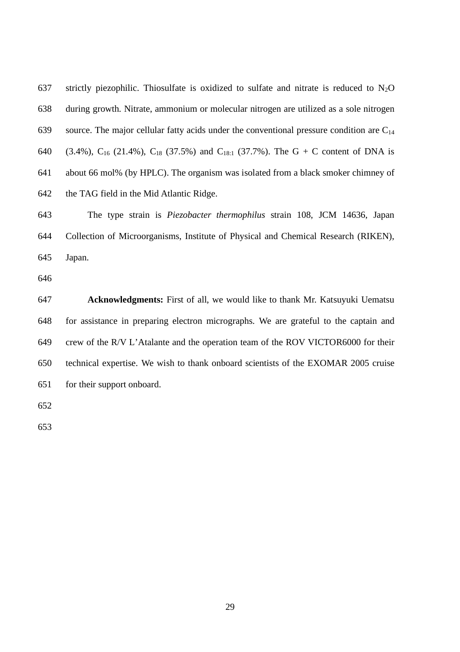637 strictly piezophilic. Thiosulfate is oxidized to sulfate and nitrate is reduced to  $N_2O$  during growth. Nitrate, ammonium or molecular nitrogen are utilized as a sole nitrogen 639 source. The major cellular fatty acids under the conventional pressure condition are  $C_{14}$ 640 (3.4%), C<sub>16</sub> (21.4%), C<sub>18</sub> (37.5%) and C<sub>18:1</sub> (37.7%). The G + C content of DNA is about 66 mol% (by HPLC). The organism was isolated from a black smoker chimney of the TAG field in the Mid Atlantic Ridge.

 The type strain is *Piezobacter thermophilus* strain 108, JCM 14636, Japan Collection of Microorganisms, Institute of Physical and Chemical Research (RIKEN), Japan.

 **Acknowledgments:** First of all, we would like to thank Mr. Katsuyuki Uematsu for assistance in preparing electron micrographs. We are grateful to the captain and crew of the R/V L'Atalante and the operation team of the ROV VICTOR6000 for their technical expertise. We wish to thank onboard scientists of the EXOMAR 2005 cruise for their support onboard.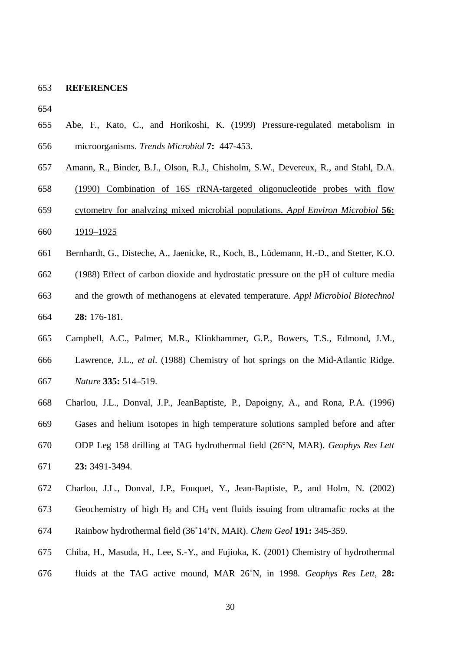**REFERENCES**

- Abe, F., Kato, C., and Horikoshi, K. (1999) Pressure-regulated metabolism in microorganisms. *Trends Microbiol* **7:** 447-453.
- Amann, R., Binder, B.J., Olson, R.J., Chisholm, S.W., Devereux, R., and Stahl, D.A.
- (1990) Combination of 16S rRNA-targeted oligonucleotide probes with flow
- cytometry for analyzing mixed microbial populations. *Appl Environ Microbiol* **56:**
- 1919–1925
- Bernhardt, G., Disteche, A., Jaenicke, R., Koch, B., Lüdemann, H.-D., and Stetter, K.O.
- (1988) Effect of carbon dioxide and hydrostatic pressure on the pH of culture media
- and the growth of methanogens at elevated temperature. *Appl Microbiol Biotechnol* **28:** 176-181.
- Campbell, A.C., Palmer, M.R., Klinkhammer, G.P., Bowers, T.S., Edmond, J.M., Lawrence, J.L., *et al*. (1988) Chemistry of hot springs on the Mid-Atlantic Ridge.
- *Nature* **335:** 514–519.
- Charlou, J.L., Donval, J.P., JeanBaptiste, P., Dapoigny, A., and Rona, P.A. (1996)
- Gases and helium isotopes in high temperature solutions sampled before and after
- ODP Leg 158 drilling at TAG hydrothermal field (26°N, MAR). *Geophys Res Lett* **23:** 3491-3494.
- Charlou, J.L., Donval, J.P., Fouquet, Y., Jean-Baptiste, P., and Holm, N. (2002)
- 673 Geochemistry of high  $H_2$  and CH<sub>4</sub> vent fluids issuing from ultramafic rocks at the
- Rainbow hydrothermal field (36˚14'N, MAR). *Chem Geol* **191:** 345-359.
- Chiba, H., Masuda, H., Lee, S.-Y., and Fujioka, K. (2001) Chemistry of hydrothermal
- fluids at the TAG active mound, MAR 26˚N, in 1998. *Geophys Res Lett*, **28:**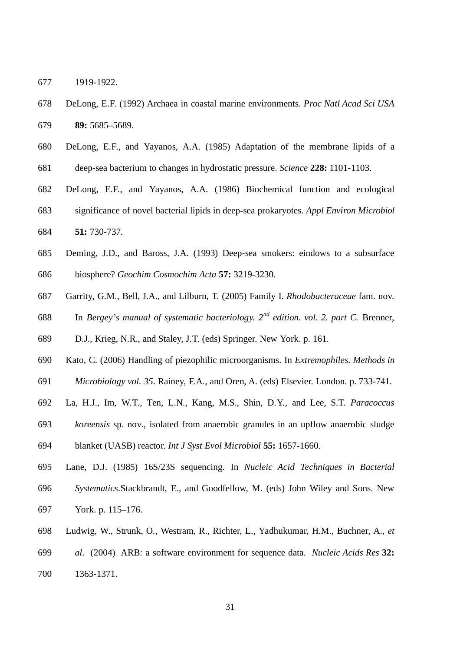- 1919-1922.
- DeLong, E.F. (1992) Archaea in coastal marine environments. *Proc Natl Acad Sci USA* **89:** 5685–5689.
- DeLong, E.F., and Yayanos, A.A. (1985) Adaptation of the membrane lipids of a
- deep-sea bacterium to changes in hydrostatic pressure. *Science* **228:** 1101-1103.
- DeLong, E.F., and Yayanos, A.A. (1986) Biochemical function and ecological significance of novel bacterial lipids in deep-sea prokaryotes. *Appl Environ Microbiol* **51:** 730-737.
- Deming, J.D., and Baross, J.A. (1993) Deep-sea smokers: eindows to a subsurface biosphere? *Geochim Cosmochim Acta* **57:** 3219-3230.
- Garrity, G.M., Bell, J.A., and Lilburn, T. (2005) Family I. *Rhodobacteraceae* fam. nov.
- 688 In *Bergey's manual of systematic bacteriology.*  $2^{nd}$  *edition. vol. 2. part C. Brenner,*
- D.J., Krieg, N.R., and Staley, J.T. (eds) Springer. New York. p. 161.
- Kato, C. (2006) Handling of piezophilic microorganisms. In *Extremophiles. Methods in*
- *Microbiology vol. 35*. Rainey, F.A., and Oren, A. (eds) Elsevier. London. p. 733-741.
- La, H.J., Im, W.T., Ten, L.N., Kang, M.S., Shin, D.Y., and Lee, S.T. *Paracoccus*
- *koreensis* sp. nov., isolated from anaerobic granules in an upflow anaerobic sludge
- blanket (UASB) reactor. *Int J Syst Evol Microbiol* **55:** 1657-1660.
- Lane, D.J. (1985) 16S/23S sequencing. In *Nucleic Acid Techniques in Bacterial Systematics*.Stackbrandt, E., and Goodfellow, M. (eds) John Wiley and Sons. New York. p. 115–176.
- Ludwig, W., Strunk, O., Westram, R., Richter, L., Yadhukumar, H.M., Buchner, A., *et al*. (2004) ARB: a software environment for sequence data. *Nucleic Acids Res* **32:** 1363-1371.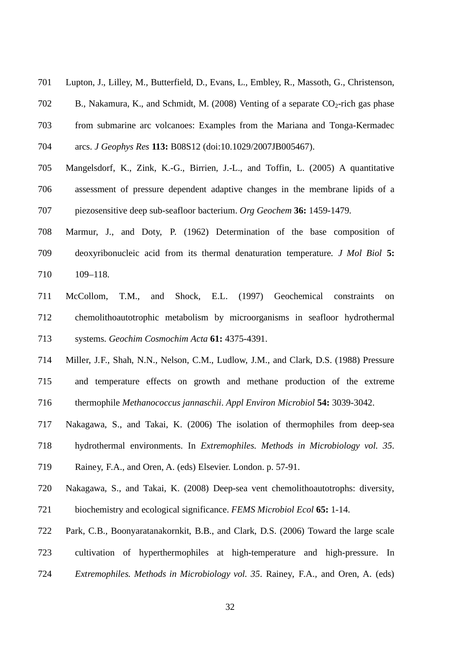Lupton, J., Lilley, M., Butterfield, D., Evans, L., Embley, R., Massoth, G., Christenson, 702 B., Nakamura, K., and Schmidt, M. (2008) Venting of a separate  $CO_2$ -rich gas phase from submarine arc volcanoes: Examples from the Mariana and Tonga-Kermadec arcs. *J Geophys Res* **113:** B08S12 (doi:10.1029/2007JB005467).

- Mangelsdorf, K., Zink, K.-G., Birrien, J.-L., and Toffin, L. (2005) A quantitative assessment of pressure dependent adaptive changes in the membrane lipids of a piezosensitive deep sub-seafloor bacterium. *Org Geochem* **36:** 1459-1479.
- Marmur, J., and Doty, P. (1962) Determination of the base composition of deoxyribonucleic acid from its thermal denaturation temperature. *J Mol Biol* **5:** 109–118.
- McCollom, T.M., and Shock, E.L. (1997) Geochemical constraints on chemolithoautotrophic metabolism by microorganisms in seafloor hydrothermal systems. *Geochim Cosmochim Acta* **61:** 4375-4391.
- Miller, J.F., Shah, N.N., Nelson, C.M., Ludlow, J.M., and Clark, D.S. (1988) Pressure
- and temperature effects on growth and methane production of the extreme thermophile *Methanococcus jannaschii*. *Appl Environ Microbiol* **54:** 3039-3042.
- Nakagawa, S., and Takai, K. (2006) The isolation of thermophiles from deep-sea
- hydrothermal environments. In *Extremophiles. Methods in Microbiology vol. 35*.
- Rainey, F.A., and Oren, A. (eds) Elsevier. London. p. 57-91.
- Nakagawa, S., and Takai, K. (2008) Deep-sea vent chemolithoautotrophs: diversity,
- biochemistry and ecological significance. *FEMS Microbiol Ecol* **65:** 1-14.
- Park, C.B., Boonyaratanakornkit, B.B., and Clark, D.S. (2006) Toward the large scale cultivation of hyperthermophiles at high-temperature and high-pressure. In *Extremophiles. Methods in Microbiology vol. 35*. Rainey, F.A., and Oren, A. (eds)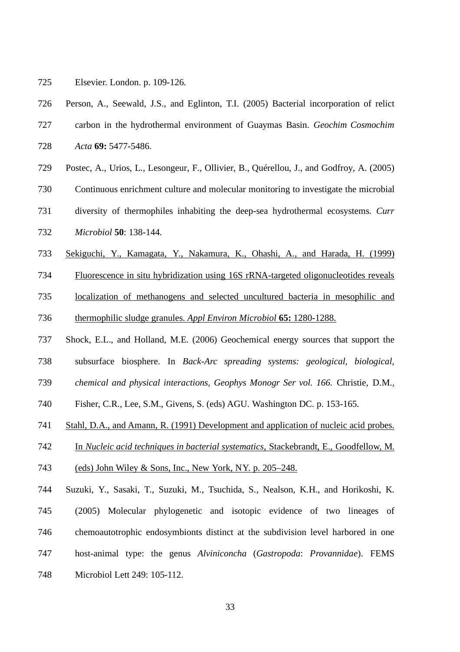Elsevier. London. p. 109-126.

 Person, A., Seewald, J.S., and Eglinton, T.I. (2005) Bacterial incorporation of relict carbon in the hydrothermal environment of Guaymas Basin. *Geochim Cosmochim Acta* **69:** 5477-5486.

Postec, A., Urios, L., Lesongeur, F., Ollivier, B., Quérellou, J., and Godfroy, A. (2005)

Continuous enrichment culture and molecular monitoring to investigate the microbial

diversity of thermophiles inhabiting the deep-sea hydrothermal ecosystems. *Curr* 

- *Microbiol* **50**: 138-144.
- Sekiguchi, Y., Kamagata, Y., Nakamura, K., Ohashi, A., and Harada, H. (1999)
- Fluorescence in situ hybridization using 16S rRNA-targeted oligonucleotides reveals

localization of methanogens and selected uncultured bacteria in mesophilic and

thermophilic sludge granules. *Appl Environ Microbiol* **65:** 1280-1288.

- Shock, E.L., and Holland, M.E. (2006) Geochemical energy sources that support the
- subsurface biosphere. In *Back-Arc spreading systems: geological, biological,*

*chemical and physical interactions, Geophys Monogr Ser vol. 166.* Christie, D.M.,

Fisher, C.R., Lee, S.M., Givens, S. (eds) AGU. Washington DC. p. 153-165.

Stahl, D.A., and Amann, R. (1991) Development and application of nucleic acid probes.

In *Nucleic acid techniques in bacterial systematics*, Stackebrandt, E., Goodfellow, M.

(eds) John Wiley & Sons, Inc., New York, NY. p. 205–248.

Suzuki, Y., Sasaki, T., Suzuki, M., Tsuchida, S., Nealson, K.H., and Horikoshi, K.

 (2005) Molecular phylogenetic and isotopic evidence of two lineages of chemoautotrophic endosymbionts distinct at the subdivision level harbored in one

host-animal type: the genus *Alviniconcha* (*Gastropoda*: *Provannidae*). FEMS

Microbiol Lett 249: 105-112.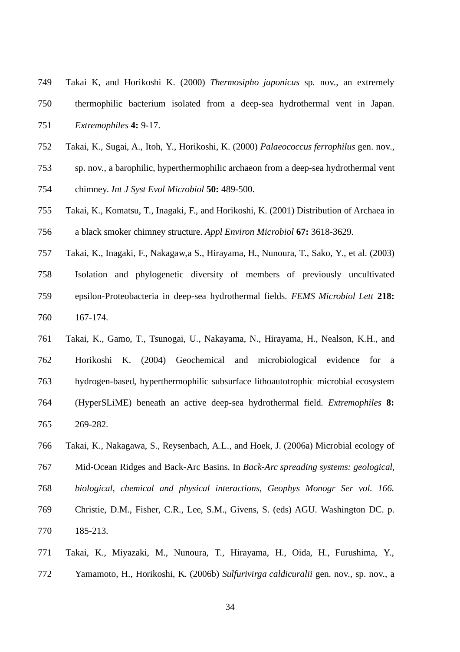- Takai K, and Horikoshi K. (2000) *Thermosipho japonicus* sp. nov., an extremely thermophilic bacterium isolated from a deep-sea hydrothermal vent in Japan. *Extremophiles* **4:** 9-17.
- Takai, K., Sugai, A., Itoh, Y., Horikoshi, K. (2000) *Palaeococcus ferrophilus* gen. nov.,
- sp. nov., a barophilic, hyperthermophilic archaeon from a deep-sea hydrothermal vent

chimney. *Int J Syst Evol Microbiol* **50:** 489-500.

- Takai, K., Komatsu, T., Inagaki, F., and Horikoshi, K. (2001) Distribution of Archaea in a black smoker chimney structure. *Appl Environ Microbiol* **67:** 3618-3629.
- Takai, K., Inagaki, F., Nakagaw,a S., Hirayama, H., Nunoura, T., Sako, Y., et al. (2003) Isolation and phylogenetic diversity of members of previously uncultivated epsilon-Proteobacteria in deep-sea hydrothermal fields. *FEMS Microbiol Lett* **218:** 167-174.
- Takai, K., Gamo, T., Tsunogai, U., Nakayama, N., Hirayama, H., Nealson, K.H., and Horikoshi K. (2004) Geochemical and microbiological evidence for a hydrogen-based, hyperthermophilic subsurface lithoautotrophic microbial ecosystem (HyperSLiME) beneath an active deep-sea hydrothermal field. *Extremophiles* **8:** 269-282.
- Takai, K., Nakagawa, S., Reysenbach, A.L., and Hoek, J. (2006a) Microbial ecology of Mid-Ocean Ridges and Back-Arc Basins. In *Back-Arc spreading systems: geological, biological, chemical and physical interactions, Geophys Monogr Ser vol. 166.*
- Christie, D.M., Fisher, C.R., Lee, S.M., Givens, S. (eds) AGU. Washington DC. p. 185-213.
- Takai, K., Miyazaki, M., Nunoura, T., Hirayama, H., Oida, H., Furushima, Y.,
- Yamamoto, H., Horikoshi, K. (2006b) *Sulfurivirga caldicuralii* gen. nov., sp. nov., a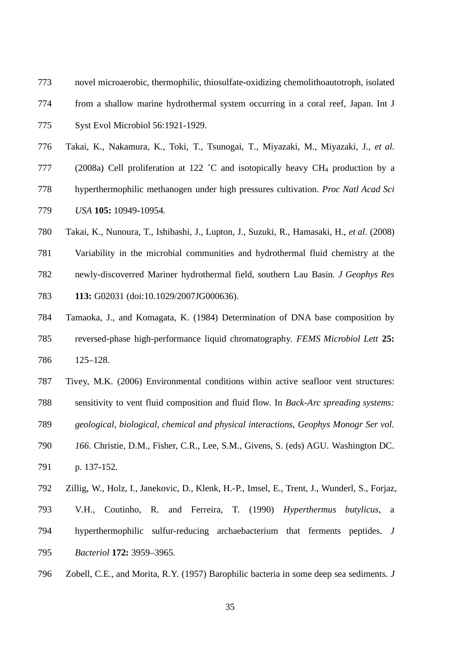- novel microaerobic, thermophilic, thiosulfate-oxidizing chemolithoautotroph, isolated
- from a shallow marine hydrothermal system occurring in a coral reef, Japan. Int J
- Syst Evol Microbiol 56:1921-1929.
- Takai, K., Nakamura, K., Toki, T., Tsunogai, T., Miyazaki, M., Miyazaki, J., *et al*. (2008a) Cell proliferation at 122 ˚C and isotopically heavy CH4 production by a hyperthermophilic methanogen under high pressures cultivation. *Proc Natl Acad Sci USA* **105:** 10949-10954.
- Takai, K., Nunoura, T., Ishibashi, J., Lupton, J., Suzuki, R., Hamasaki, H., *et al*. (2008)
- Variability in the microbial communities and hydrothermal fluid chemistry at the
- newly-discoverred Mariner hydrothermal field, southern Lau Basin*. J Geophys Res* **113:** G02031 (doi:10.1029/2007JG000636).
- Tamaoka, J., and Komagata, K. (1984) Determination of DNA base composition by reversed-phase high-performance liquid chromatography. *FEMS Microbiol Lett* **25:** 125–128.
- Tivey, M.K. (2006) Environmental conditions within active seafloor vent structures:
- sensitivity to vent fluid composition and fluid flow. In *Back-Arc spreading systems:*
- *geological, biological, chemical and physical interactions, Geophys Monogr Ser vol.*
- *166.* Christie, D.M., Fisher, C.R., Lee, S.M., Givens, S. (eds) AGU. Washington DC. p. 137-152.
- Zillig, W., Holz, I., Janekovic, D., Klenk, H.-P., Imsel, E., Trent, J., Wunderl, S., Forjaz,
- V.H., Coutinho, R. and Ferreira, T. (1990) *Hyperthermus butylicus*, a hyperthermophilic sulfur-reducing archaebacterium that ferments peptides. *J Bacteriol* **172:** 3959–3965.
- Zobell, C.E., and Morita, R.Y. (1957) Barophilic bacteria in some deep sea sediments. *J*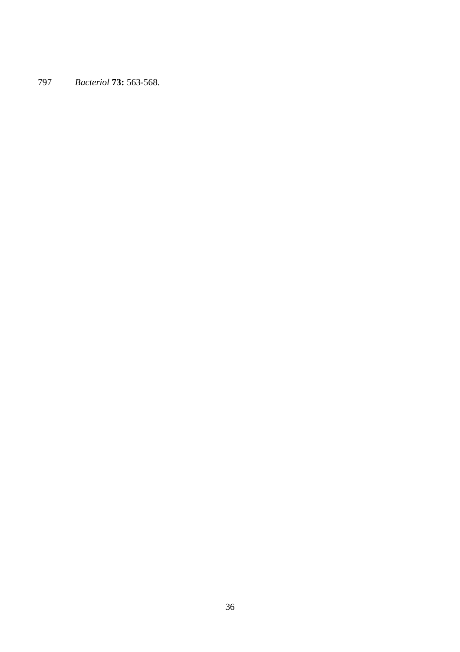*Bacteriol* **73:** 563-568.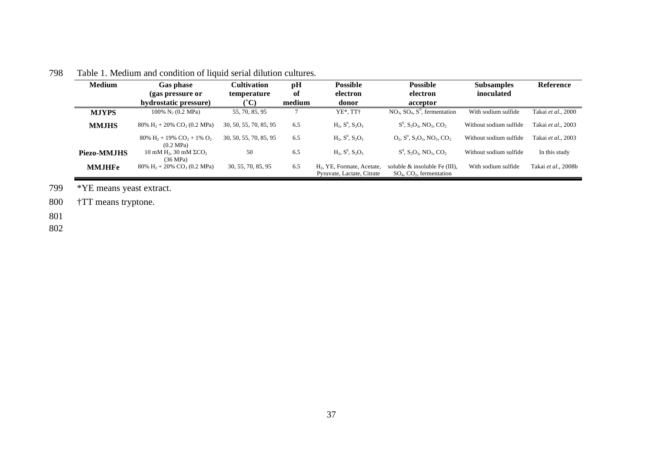| <b>Medium</b>      | <b>Gas phase</b><br>(gas pressure or<br>hydrostatic pressure)                            | Cultivation<br>temperature<br>°C) | pH<br>of<br>medium | <b>Possible</b><br>electron<br>donor                                 | <b>Possible</b><br>electron<br>acceptor                               | <b>Subsamples</b><br>inoculated | Reference           |
|--------------------|------------------------------------------------------------------------------------------|-----------------------------------|--------------------|----------------------------------------------------------------------|-----------------------------------------------------------------------|---------------------------------|---------------------|
| <b>MJYPS</b>       | $100\% \text{ N}_2 (0.2 \text{ MPa})$                                                    | 55, 70, 85, 95                    |                    | YE*. TT†                                                             | $NO3$ , $SO4$ , $S0$ , fermentation                                   | With sodium sulfide             | Takai et al., 2000  |
| <b>MMJHS</b>       | 80% H <sub>2</sub> + 20% CO <sub>2</sub> (0.2 MPa)                                       | 30, 50, 55, 70, 85, 95            | 6.5                | $H_2, S^0, S_2O_3$                                                   | $S^0$ , $S_2O_3$ , $NO_3$ , $CO_2$                                    | Without sodium sulfide          | Takai et al., 2003  |
|                    | $80\%$ H <sub>2</sub> + 19\% CO <sub>2</sub> + 1\% O <sub>2</sub><br>$(0.2 \text{ MPa})$ | 30, 50, 55, 70, 85, 95            | 6.5                | $H_2, S^0, S_2O_3$                                                   | $Q_2$ , $S^0$ , $S_2Q_3$ , $NO_3$ , $CO_2$                            | Without sodium sulfide          | Takai et al., 2003  |
| <b>Piezo-MMJHS</b> | 10 mM H <sub>2</sub> , 30 mM $\Sigma$ CO <sub>2</sub><br>(36 MPa)                        | 50                                | 6.5                | $H_2$ , $S^0$ , $S_2O_3$                                             | $S^0$ , $S_2O_3$ , $NO_3$ , $CO_2$                                    | Without sodium sulfide          | In this study       |
| <b>MMJHFe</b>      | $80\%$ H <sub>2</sub> + 20\% CO <sub>2</sub> (0.2 MPa)                                   | 30, 55, 70, 85, 95                | 6.5                | H <sub>2</sub> , YE, Formate, Acetate,<br>Pyruvate, Lactate, Citrate | soluble $\&$ insoluble Fe $(III)$ .<br>$SO_4$ , $CO_2$ , fermentation | With sodium sulfide             | Takai et al., 2008b |

# 798 Table 1. Medium and condition of liquid serial dilution cultures.

799 \*YE means yeast extract.

800 †TT means tryptone.

801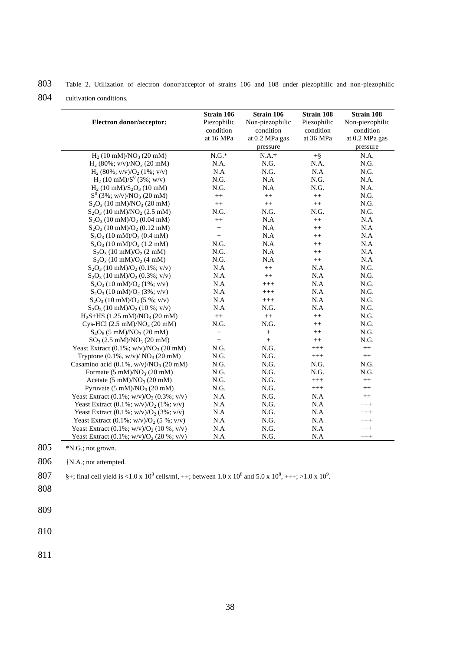## 803 Table 2. Utilization of electron donor/acceptor of strains 106 and 108 under piezophilic and non-piezophilic 804 cultivation conditions.

| Electron donor/acceptor:                            | Strain 106<br>Piezophilic<br>condition | Strain 106<br>Non-piezophilic<br>condition | Strain 108<br>Piezophilic<br>condition | Strain 108<br>Non-piezophilic<br>condition |
|-----------------------------------------------------|----------------------------------------|--------------------------------------------|----------------------------------------|--------------------------------------------|
|                                                     | at 16 MPa                              | at 0.2 MPa gas                             | at 36 MPa                              | at 0.2 MPa gas                             |
|                                                     |                                        | pressure                                   |                                        | pressure                                   |
| $H_2$ (10 mM)/NO <sub>3</sub> (20 mM)               | $N.G.*$                                | N.A.†                                      | $+\S$                                  | N.A.                                       |
| $H_2(80\%; v/v)/NO_3(20\; mM)$                      | N.A.                                   | N.G.                                       | N.A.                                   | N.G.                                       |
| $H_2(80\%; v/v)/O_2(1\%; v/v)$                      | N.A                                    | N.G.                                       | N.A                                    | N.G.                                       |
| $H_2(10 \text{ mM})/S^0(3\%; w/v)$                  | N.G.                                   | N.A                                        | N.G.                                   | N.A.                                       |
| $H_2$ (10 mM)/S <sub>2</sub> O <sub>3</sub> (10 mM) | N.G.                                   | N.A                                        | N.G.                                   | N.A.                                       |
| $S^0$ (3%; w/v)/NO <sub>3</sub> (20 mM)             | $^{++}\,$                              | $++$                                       | $^{++}$                                | N.G.                                       |
| $S_2O_3$ (10 mM)/NO <sub>3</sub> (20 mM)            | $^{++}\,$                              | $++$                                       | $^{++}$                                | N.G.                                       |
| $S_2O_3$ (10 mM)/NO <sub>2</sub> (2.5 mM)           | N.G.                                   | N.G.                                       | N.G.                                   | N.G.                                       |
| $S_2O_3$ (10 mM)/O <sub>2</sub> (0.04 mM)           | $^{++}$                                | N.A                                        | $^{++}$                                | N.A                                        |
| $S_2O_3$ (10 mM)/O <sub>2</sub> (0.12 mM)           | $\, +$                                 | N.A                                        | $^{++}$                                | N.A                                        |
| $S_2O_3$ (10 mM)/O <sub>2</sub> (0.4 mM)            | $\! + \!\!\!\!$                        | N.A                                        | $^{++}$                                | N.A                                        |
| $S_2O_3$ (10 mM)/O <sub>2</sub> (1.2 mM)            | N.G.                                   | N.A                                        | $^{++}$                                | N.A                                        |
| $S_2O_3$ (10 mM)/O <sub>2</sub> (2 mM)              | N.G.                                   | N.A                                        | $^{++}$                                | N.A                                        |
| $S_2O_3$ (10 mM)/O <sub>2</sub> (4 mM)              | N.G.                                   | N.A                                        | $^{++}$                                | N.A                                        |
| $S_2O_3$ (10 mM)/O <sub>2</sub> (0.1%; v/v)         | N.A                                    | $^{++}$                                    | N.A                                    | N.G.                                       |
| $S_2O_3$ (10 mM)/O <sub>2</sub> (0.3%; v/v)         | N.A                                    | $++$                                       | N.A                                    | N.G.                                       |
| $S_2O_3$ (10 mM)/O <sub>2</sub> (1%; v/v)           | N.A                                    | $^{+++}$                                   | $\rm N.A$                              | N.G.                                       |
| $S_2O_3$ (10 mM)/O <sub>2</sub> (3%; v/v)           | $\rm N.A$                              | $^{+++}$                                   | $\rm N.A$                              | N.G.                                       |
| $S_2O_3$ (10 mM)/O <sub>2</sub> (5 %; v/v)          | N.A                                    | $^{+++}$                                   | N.A                                    | N.G.                                       |
| $S_2O_3$ (10 mM)/O <sub>2</sub> (10 %; v/v)         | N.A                                    | N.G.                                       | N.A                                    | N.G.                                       |
| $H_2S+HS$ (1.25 mM)/NO <sub>3</sub> (20 mM)         | $^{++}\,$                              | $++$                                       | $++$                                   | N.G.                                       |
| Cys-HCl $(2.5 \text{ mM})/NO_3 (20 \text{ mM})$     | N.G.                                   | N.G.                                       | $^{++}$                                | N.G.                                       |
| $S_4O_6$ (5 mM)/NO <sub>3</sub> (20 mM)             |                                        | $\! + \!\!\!\!$                            | $^{++}$                                | N.G.                                       |
| $SO_3$ (2.5 mM)/NO <sub>3</sub> (20 mM)             | $\boldsymbol{+}$                       | $+$                                        | $^{++}$                                | N.G.                                       |
| Yeast Extract $(0.1\%; w/v)/NO3$ (20 mM)            | N.G.                                   | N.G.                                       | $^{+++}$                               | $++$                                       |
| Tryptone $(0.1\%, w/v)/NO_3$ (20 mM)                | N.G.                                   | N.G.                                       | $^{+++}$                               | $^{++}$                                    |
| Casamino acid $(0.1\%, w/v)/NO_3$ (20 mM)           | N.G.                                   | N.G.                                       | N.G.                                   | N.G.                                       |
| Formate $(5 \text{ mM})/NO3 (20 \text{ mM})$        | N.G.                                   | N.G.                                       | N.G.                                   | N.G.                                       |
| Acetate $(5 \text{ mM})/NO3 (20 \text{ mM})$        | N.G.                                   | N.G.                                       | $^{+++}$                               | $++$                                       |
| Pyruvate $(5 \text{ mM})/NO_3 (20 \text{ mM})$      | N.G.                                   | N.G.                                       | $^{+++}$                               | $^{++}$                                    |
| Yeast Extract $(0.1\%; w/v)/O_2(0.3\%; v/v)$        | N.A                                    | N.G.                                       | N.A                                    | $++$                                       |
| Yeast Extract $(0.1\%; w/v)/O_2(1\%; v/v)$          | N.A                                    | N.G.                                       | N.A                                    | $+++$                                      |
| Yeast Extract $(0.1\%; w/v)/O_2(3\%; v/v)$          | N.A                                    | N.G.                                       | N.A                                    | $^{+++}$                                   |
| Yeast Extract $(0.1\%; w/v)/O_2$ (5 %; v/v)         | N.A                                    | N.G.                                       | N.A                                    | $+++$                                      |

805 \*N.G.; not grown.

Yeast Extract  $(0.1\%; w/v)/O_2$  (20 %; v/v)

806 †N.A.; not attempted.

807 §+; final cell yield is <1.0 x 10<sup>8</sup> cells/ml, ++; between 1.0 x 10<sup>8</sup> and 5.0 x 10<sup>8</sup>, +++; >1.0 x 10<sup>9</sup>.

808

809

810

811

Yeast Extract  $(0.1\%; w/v)/O_2$  (5 %; v/v)  $N.A$  N.G.  $N.A$  +++<br>Yeast Extract  $(0.1\%; w/v)/O_2$  (10 %; v/v)  $N.A$  N.G.  $N.A$  +++ Yeast Extract  $(0.1\%; w/v)/O_2$   $(10\%; v/v)$  N.A N.G. N.A +++<br>Yeast Extract  $(0.1\%; w/v)/O_2$   $(20\%; v/v)$  N.A N.G. N.A +++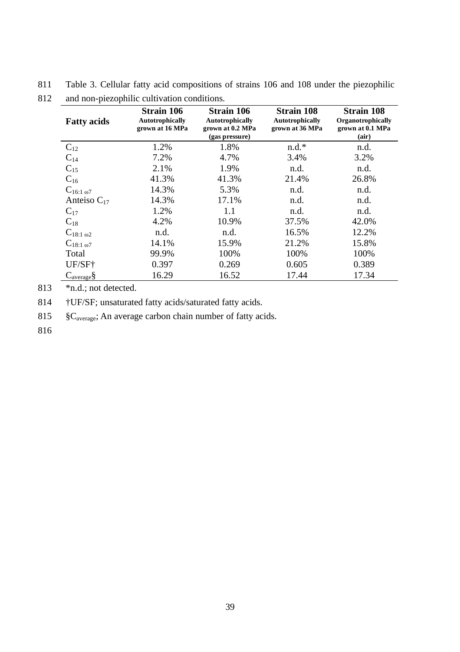| <b>Fatty acids</b>   | <b>Strain 106</b><br>Autotrophically<br>grown at 16 MPa | <b>Strain 106</b><br>Autotrophically<br>grown at 0.2 MPa<br>(gas pressure) | <b>Strain 108</b><br><b>Autotrophically</b><br>grown at 36 MPa | <b>Strain 108</b><br><b>Organotrophically</b><br>grown at 0.1 MPa<br>(air) |
|----------------------|---------------------------------------------------------|----------------------------------------------------------------------------|----------------------------------------------------------------|----------------------------------------------------------------------------|
| $C_{12}$             | 1.2%                                                    | 1.8%                                                                       | $n.d.*$                                                        | n.d.                                                                       |
| $C_{14}$             | 7.2%                                                    | 4.7%                                                                       | 3.4%                                                           | 3.2%                                                                       |
| $C_{15}$             | 2.1%                                                    | 1.9%                                                                       | n.d.                                                           | n.d.                                                                       |
| $C_{16}$             | 41.3%                                                   | 41.3%                                                                      | 21.4%                                                          | 26.8%                                                                      |
| $C_{16:1\omega7}$    | 14.3%                                                   | 5.3%                                                                       | n.d.                                                           | n.d.                                                                       |
| Anteiso $C_{17}$     | 14.3%                                                   | 17.1%                                                                      | n.d.                                                           | n.d.                                                                       |
| $C_{17}$             | 1.2%                                                    | 1.1                                                                        | n.d.                                                           | n.d.                                                                       |
| $C_{18}$             | 4.2%                                                    | 10.9%                                                                      | 37.5%                                                          | 42.0%                                                                      |
| $C_{18:1\,\omega_2}$ | n.d.                                                    | n.d.                                                                       | 16.5%                                                          | 12.2%                                                                      |
| $C_{18:1\omega7}$    | 14.1%                                                   | 15.9%                                                                      | 21.2%                                                          | 15.8%                                                                      |
| Total                | 99.9%                                                   | 100%                                                                       | 100%                                                           | 100%                                                                       |
| UF/SF†               | 0.397                                                   | 0.269                                                                      | 0.605                                                          | 0.389                                                                      |
| $\cup$ average $\S$  | 16.29                                                   | 16.52                                                                      | 17.44                                                          | 17.34                                                                      |

811 Table 3. Cellular fatty acid compositions of strains 106 and 108 under the piezophilic 812 and non-piezophilic cultivation conditions.

813 \*n.d.; not detected.

814 †UF/SF; unsaturated fatty acids/saturated fatty acids.

815 §C<sub>average</sub>; An average carbon chain number of fatty acids.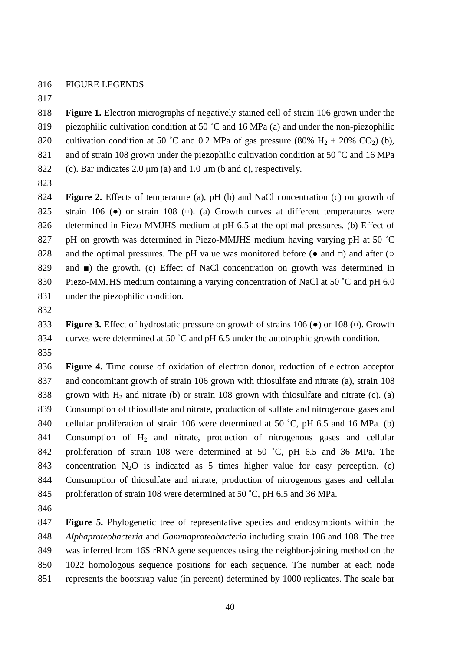- FIGURE LEGENDS
- 

 **Figure 1.** Electron micrographs of negatively stained cell of strain 106 grown under the piezophilic cultivation condition at 50 ˚C and 16 MPa (a) and under the non-piezophilic 820 cultivation condition at 50 °C and 0.2 MPa of gas pressure (80% H<sub>2</sub> + 20% CO<sub>2</sub>) (b), 821 and of strain 108 grown under the piezophilic cultivation condition at 50 °C and 16 MPa 822 (c). Bar indicates 2.0  $\mu$ m (a) and 1.0  $\mu$ m (b and c), respectively.

 **Figure 2.** Effects of temperature (a), pH (b) and NaCl concentration (c) on growth of 825 strain 106 ( $\bullet$ ) or strain 108 ( $\Box$ ). (a) Growth curves at different temperatures were determined in Piezo-MMJHS medium at pH 6.5 at the optimal pressures. (b) Effect of 827 pH on growth was determined in Piezo-MMJHS medium having varying pH at 50 °C 828 and the optimal pressures. The pH value was monitored before ( $\bullet$  and  $\Box$ ) and after ( $\circ$  and ■) the growth. (c) Effect of NaCl concentration on growth was determined in Piezo-MMJHS medium containing a varying concentration of NaCl at 50 ˚C and pH 6.0 under the piezophilic condition.

 **Figure 3.** Effect of hydrostatic pressure on growth of strains 106 (●) or 108 (□). Growth 834 curves were determined at 50 °C and pH 6.5 under the autotrophic growth condition.

 **Figure 4.** Time course of oxidation of electron donor, reduction of electron acceptor and concomitant growth of strain 106 grown with thiosulfate and nitrate (a), strain 108 838 grown with  $H_2$  and nitrate (b) or strain 108 grown with thiosulfate and nitrate (c). (a) Consumption of thiosulfate and nitrate, production of sulfate and nitrogenous gases and 840 cellular proliferation of strain 106 were determined at 50 °C, pH 6.5 and 16 MPa. (b) 841 Consumption of  $H_2$  and nitrate, production of nitrogenous gases and cellular proliferation of strain 108 were determined at 50 ˚C, pH 6.5 and 36 MPa. The 843 concentration  $N_2O$  is indicated as 5 times higher value for easy perception. (c) Consumption of thiosulfate and nitrate, production of nitrogenous gases and cellular 845 proliferation of strain 108 were determined at 50 °C, pH 6.5 and 36 MPa.

 **Figure 5.** Phylogenetic tree of representative species and endosymbionts within the *Alphaproteobacteria* and *Gammaproteobacteria* including strain 106 and 108. The tree was inferred from 16S rRNA gene sequences using the neighbor-joining method on the 1022 homologous sequence positions for each sequence. The number at each node represents the bootstrap value (in percent) determined by 1000 replicates. The scale bar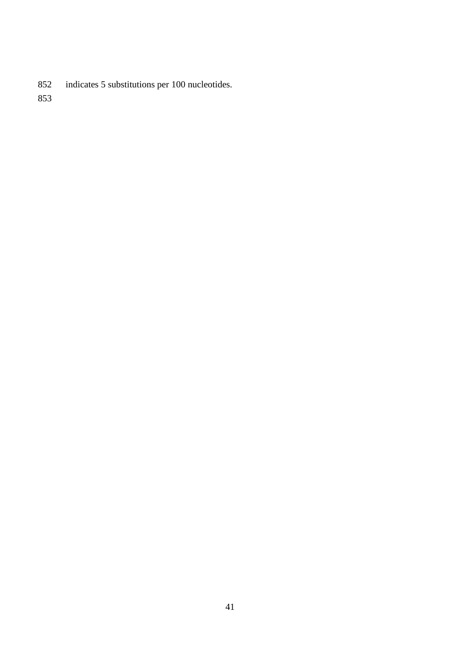indicates 5 substitutions per 100 nucleotides.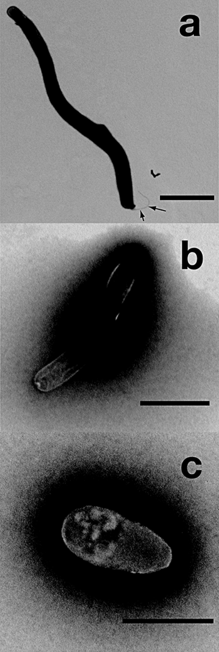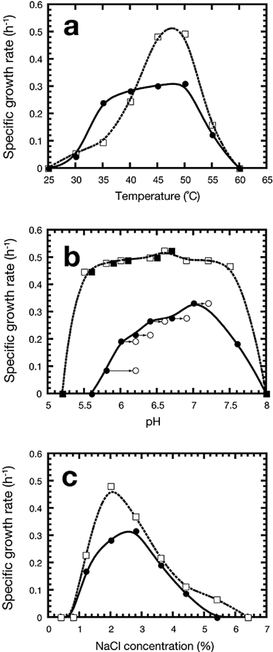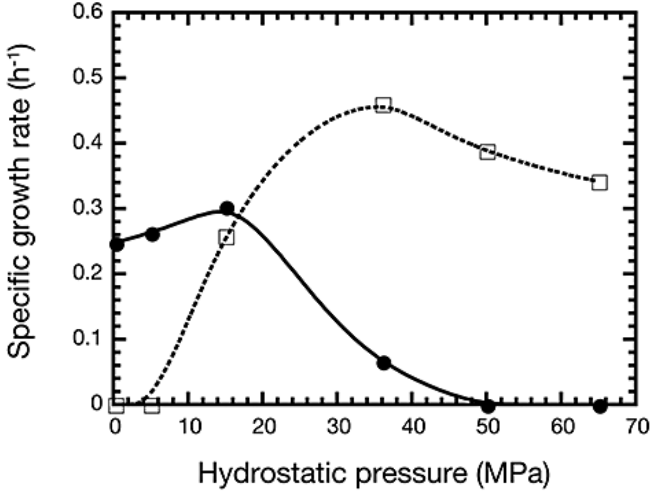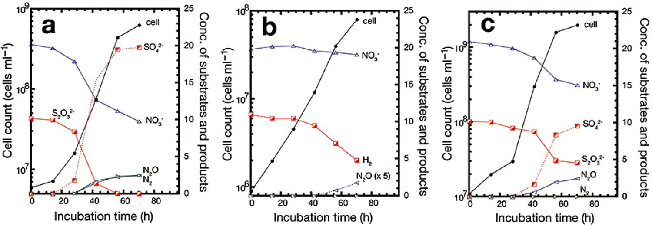